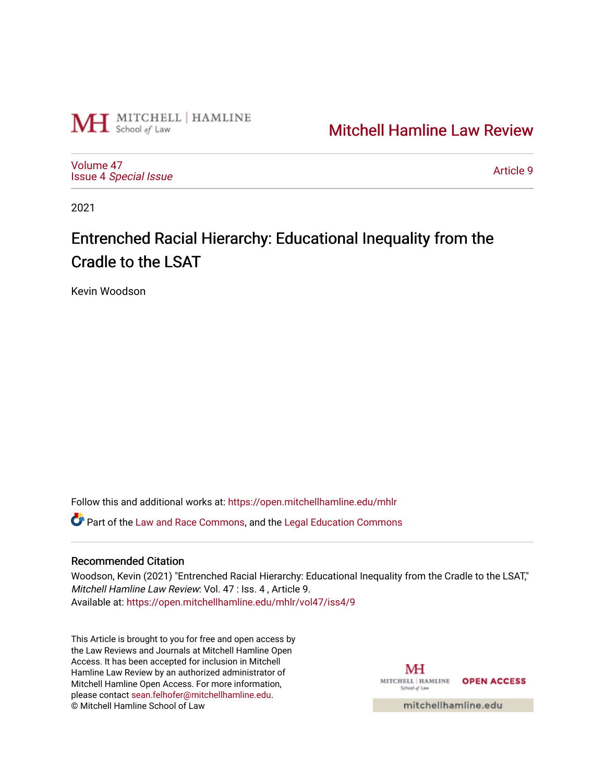

[Mitchell Hamline Law Review](https://open.mitchellhamline.edu/mhlr) 

[Volume 47](https://open.mitchellhamline.edu/mhlr/vol47) Issue 4 [Special Issue](https://open.mitchellhamline.edu/mhlr/vol47/iss4)

[Article 9](https://open.mitchellhamline.edu/mhlr/vol47/iss4/9) 

2021

# Entrenched Racial Hierarchy: Educational Inequality from the Cradle to the LSAT

Kevin Woodson

Follow this and additional works at: [https://open.mitchellhamline.edu/mhlr](https://open.mitchellhamline.edu/mhlr?utm_source=open.mitchellhamline.edu%2Fmhlr%2Fvol47%2Fiss4%2F9&utm_medium=PDF&utm_campaign=PDFCoverPages) 

Part of the [Law and Race Commons,](http://network.bepress.com/hgg/discipline/1300?utm_source=open.mitchellhamline.edu%2Fmhlr%2Fvol47%2Fiss4%2F9&utm_medium=PDF&utm_campaign=PDFCoverPages) and the [Legal Education Commons](http://network.bepress.com/hgg/discipline/857?utm_source=open.mitchellhamline.edu%2Fmhlr%2Fvol47%2Fiss4%2F9&utm_medium=PDF&utm_campaign=PDFCoverPages)

# Recommended Citation

Woodson, Kevin (2021) "Entrenched Racial Hierarchy: Educational Inequality from the Cradle to the LSAT," Mitchell Hamline Law Review: Vol. 47 : Iss. 4 , Article 9. Available at: [https://open.mitchellhamline.edu/mhlr/vol47/iss4/9](https://open.mitchellhamline.edu/mhlr/vol47/iss4/9?utm_source=open.mitchellhamline.edu%2Fmhlr%2Fvol47%2Fiss4%2F9&utm_medium=PDF&utm_campaign=PDFCoverPages) 

This Article is brought to you for free and open access by the Law Reviews and Journals at Mitchell Hamline Open Access. It has been accepted for inclusion in Mitchell Hamline Law Review by an authorized administrator of Mitchell Hamline Open Access. For more information, please contact [sean.felhofer@mitchellhamline.edu.](mailto:sean.felhofer@mitchellhamline.edu) © Mitchell Hamline School of Law

МH MITCHELL | HAMLINE OPEN ACCESS School of Law

mitchellhamline.edu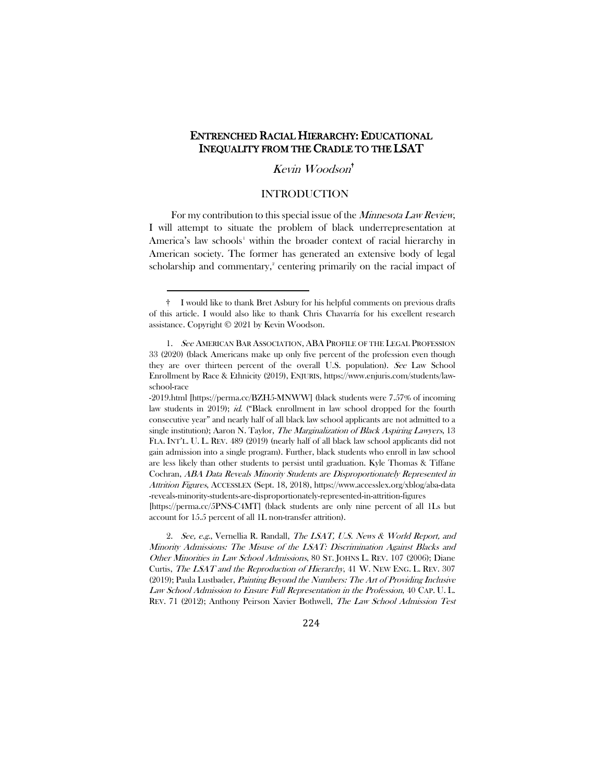# ENTRENCHED RACIAL HIERARCHY: EDUCATIONAL INEQUALITY FROM THE CRADLE TO THE LSAT

Kevin Woodson[†](#page-1-0)

# <span id="page-1-3"></span>INTRODUCTION

For my contribution to this special issue of the *Minnesota Law Review*, I will attempt to situate the problem of black underrepresentation at America's law schools<sup>[1](#page-1-1)</sup> within the broader context of racial hierarchy in American society. The former has generated an extensive body of legal scholarship and commentary,<sup>[2](#page-1-2)</sup> centering primarily on the racial impact of

224

<span id="page-1-0"></span><sup>†</sup> I would like to thank Bret Asbury for his helpful comments on previous drafts of this article. I would also like to thank Chris Chavarría for his excellent research assistance. Copyright © 2021 by Kevin Woodson.

<span id="page-1-1"></span><sup>1.</sup> See AMERICAN BAR ASSOCIATION, ABA PROFILE OF THE LEGAL PROFESSION 33 (2020) (black Americans make up only five percent of the profession even though they are over thirteen percent of the overall U.S. population). See Law School Enrollment by Race & Ethnicity (2019), ENJURIS, https://www.enjuris.com/students/lawschool-race

<sup>-2019.</sup>html [https://perma.cc/BZH5-MNWW] (black students were 7.57% of incoming law students in 2019); id. ("Black enrollment in law school dropped for the fourth consecutive year" and nearly half of all black law school applicants are not admitted to a single institution); Aaron N. Taylor, *The Marginalization of Black Aspiring Lawyers*, 13 FLA. INT'L. U. L. REV. 489 (2019) (nearly half of all black law school applicants did not gain admission into a single program). Further, black students who enroll in law school are less likely than other students to persist until graduation. Kyle Thomas & Tiffane Cochran, ABA Data Reveals Minority Students are Disproportionately Represented in Attrition Figures, ACCESSLEX (Sept. 18, 2018), https://www.accesslex.org/xblog/aba-data -reveals-minority-students-are-disproportionately-represented-in-attrition-figures

<sup>[</sup>https://perma.cc/5PNS-C4MT] (black students are only nine percent of all 1Ls but account for 15.5 percent of all 1L non-transfer attrition).

<span id="page-1-2"></span><sup>2.</sup> See, e.g., Vernellia R. Randall, The LSAT, U.S. News & World Report, and Minority Admissions: The Misuse of the LSAT: Discrimination Against Blacks and Other Minorities in Law School Admissions, 80 ST. JOHNS L. REV. 107 (2006); Diane Curtis, The LSAT and the Reproduction of Hierarchy, 41 W. NEW ENG. L. REV. 307 (2019); Paula Lustbader, Painting Beyond the Numbers: The Art of Providing Inclusive Law School Admission to Ensure Full Representation in the Profession, 40 CAP. U. L. REV. 71 (2012); Anthony Peirson Xavier Bothwell, The Law School Admission Test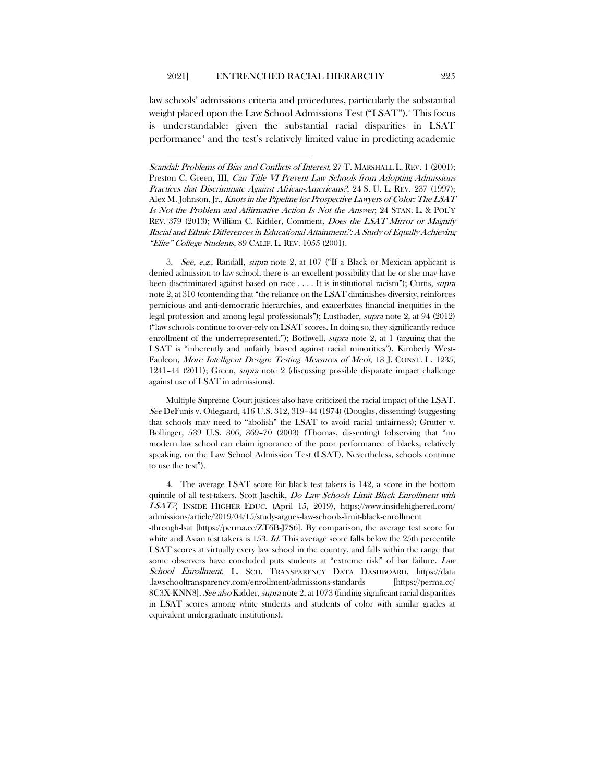<span id="page-2-2"></span>law schools' admissions criteria and procedures, particularly the substantial weight placed upon the Law School Admissions Test ("LSAT").<sup>[3](#page-2-0)</sup> This focus is understandable: given the substantial racial disparities in LSAT performance<sup>[4](#page-2-1)</sup> and the test's relatively limited value in predicting academic

<span id="page-2-0"></span>3. See, e.g., Randall, supra note [2,](#page-1-3) at 107 ("If a Black or Mexican applicant is denied admission to law school, there is an excellent possibility that he or she may have been discriminated against based on race . . . . It is institutional racism"); Curtis, *supra* not[e 2,](#page-1-3) at 310 (contending that "the reliance on the LSAT diminishes diversity, reinforces pernicious and anti-democratic hierarchies, and exacerbates financial inequities in the legal profession and among legal professionals"); Lustbader, supra not[e 2,](#page-1-3) at 94 (2012) ("law schools continue to over-rely on LSAT scores. In doing so, they significantly reduce enrollment of the underrepresented."); Bothwell, *supra* note [2,](#page-1-3) at 1 (arguing that the LSAT is "inherently and unfairly biased against racial minorities"). Kimberly West-Faulcon, More Intelligent Design: Testing Measures of Merit, 13 J. CONST. L. 1235, 1241–44 (2011); Green, supra note [2](#page-1-3) (discussing possible disparate impact challenge against use of LSAT in admissions).

Multiple Supreme Court justices also have criticized the racial impact of the LSAT. See DeFunis v. Odegaard, 416 U.S. 312, 319–44 (1974) (Douglas, dissenting) (suggesting that schools may need to "abolish" the LSAT to avoid racial unfairness); Grutter v. Bollinger, 539 U.S. 306, 369–70 (2003) (Thomas, dissenting) (observing that "no modern law school can claim ignorance of the poor performance of blacks, relatively speaking, on the Law School Admission Test (LSAT). Nevertheless, schools continue to use the test").

<span id="page-2-1"></span>4. The average LSAT score for black test takers is 142, a score in the bottom quintile of all test-takers. Scott Jaschik, Do Law Schools Limit Black Enrollment with LSAT?, INSIDE HIGHER EDUC. (April 15, 2019), https://www.insidehighered.com/ admissions/article/2019/04/15/study-argues-law-schools-limit-black-enrollment

-through-lsat [https://perma.cc/ZT6B-J7S6]. By comparison, the average test score for white and Asian test takers is  $153$ . *Id*. This average score falls below the  $25th$  percentile LSAT scores at virtually every law school in the country, and falls within the range that some observers have concluded puts students at "extreme risk" of bar failure. Law School Enrollment, L. SCH. TRANSPARENCY DATA DASHBOARD, https://data .lawschooltransparency.com/enrollment/admissions-standards [https://perma.cc/ 8C3X-KNN8]. See also Kidder, supra not[e 2,](#page-1-3) at 1073 (finding significant racial disparities in LSAT scores among white students and students of color with similar grades at equivalent undergraduate institutions).

Scandal: Problems of Bias and Conflicts of Interest, 27 T. MARSHALL L. REV. 1 (2001); Preston C. Green, III, *Can Title VI Prevent Law Schools from Adopting Admissions* Practices that Discriminate Against African-Americans?, 24 S. U. L. REV. 237 (1997); Alex M. Johnson, Jr., Knots in the Pipeline for Prospective Lawyers of Color: The LSAT Is Not the Problem and Affirmative Action Is Not the Answer, 24 STAN. L. & POL'Y REV. 379 (2013); William C. Kidder, Comment, Does the LSAT Mirror or Magnify Racial and Ethnic Differences in Educational Attainment?: A Study of Equally Achieving "Elite" College Students, 89 CALIF. L. REV. 1055 (2001).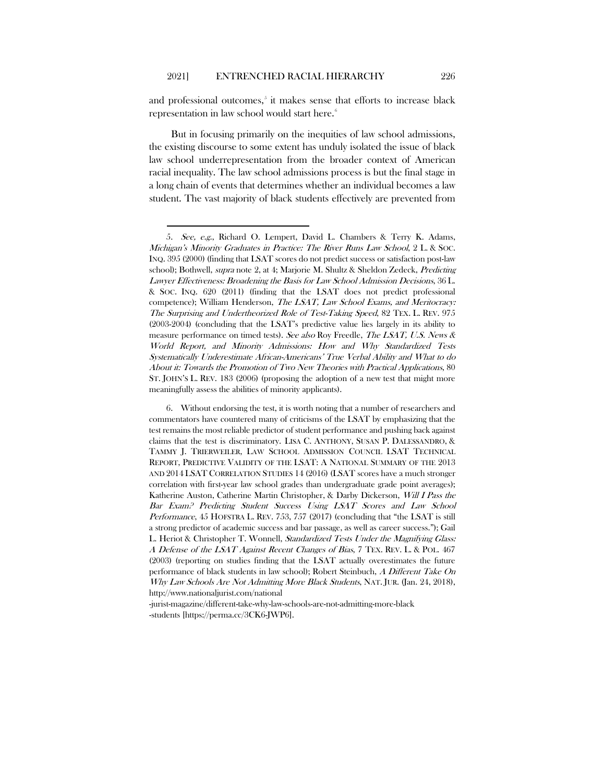and professional outcomes,<sup>[5](#page-3-0)</sup> it makes sense that efforts to increase black representation in law school would start here.<sup>[6](#page-3-1)</sup>

But in focusing primarily on the inequities of law school admissions, the existing discourse to some extent has unduly isolated the issue of black law school underrepresentation from the broader context of American racial inequality. The law school admissions process is but the final stage in a long chain of events that determines whether an individual becomes a law student. The vast majority of black students effectively are prevented from

<span id="page-3-0"></span><sup>5.</sup> See, e.g., Richard O. Lempert, David L. Chambers & Terry K. Adams, Michigan's Minority Graduates in Practice: The River Runs Law School, 2 L. & SOC. INQ. 395 (2000) (finding that LSAT scores do not predict success or satisfaction post-law school); Bothwell, *supra* note [2,](#page-1-3) at 4; Marjorie M. Shultz & Sheldon Zedeck, Predicting Lawyer Effectiveness: Broadening the Basis for Law School Admission Decisions, 36 L. & SOC. INQ. 620 (2011) (finding that the LSAT does not predict professional competence); William Henderson, The LSAT, Law School Exams, and Meritocracy: The Surprising and Undertheorized Role of Test-Taking Speed, 82 TEX. L. REV. 975 (2003-2004) (concluding that the LSAT's predictive value lies largely in its ability to measure performance on timed tests). See also Roy Freedle, The LSAT, U.S. News & World Report, and Minority Admissions: How and Why Standardized Tests Systematically Underestimate African-Americans' True Verbal Ability and What to do About it: Towards the Promotion of Two New Theories with Practical Applications, 80 ST. JOHN'S L. REV. 183 (2006) (proposing the adoption of a new test that might more meaningfully assess the abilities of minority applicants).

<span id="page-3-1"></span><sup>6.</sup> Without endorsing the test, it is worth noting that a number of researchers and commentators have countered many of criticisms of the LSAT by emphasizing that the test remains the most reliable predictor of student performance and pushing back against claims that the test is discriminatory. LISA C. ANTHONY, SUSAN P. DALESSANDRO, & TAMMY J. TRIERWEILER, LAW SCHOOL ADMISSION COUNCIL LSAT TECHNICAL REPORT, PREDICTIVE VALIDITY OF THE LSAT: A NATIONAL SUMMARY OF THE 2013 AND 2014 LSAT CORRELATION STUDIES 14 (2016) (LSAT scores have a much stronger correlation with first-year law school grades than undergraduate grade point averages); Katherine Auston, Catherine Martin Christopher, & Darby Dickerson, Will I Pass the Bar Exam? Predicting Student Success Using LSAT Scores and Law School Performance, 45 HOFSTRA L. REV. 753, 757 (2017) (concluding that "the LSAT is still a strong predictor of academic success and bar passage, as well as career success."); Gail L. Heriot & Christopher T. Wonnell, Standardized Tests Under the Magnifying Glass: A Defense of the LSAT Against Recent Changes of Bias, 7 TEX. REV. L. & POL. 467 (2003) (reporting on studies finding that the LSAT actually overestimates the future performance of black students in law school); Robert Steinbuch, A Different Take On Why Law Schools Are Not Admitting More Black Students, NAT. JUR. (Jan. 24, 2018), http://www.nationaljurist.com/national

<sup>-</sup>jurist-magazine/different-take-why-law-schools-are-not-admitting-more-black -students [https://perma.cc/3CK6-JWP6].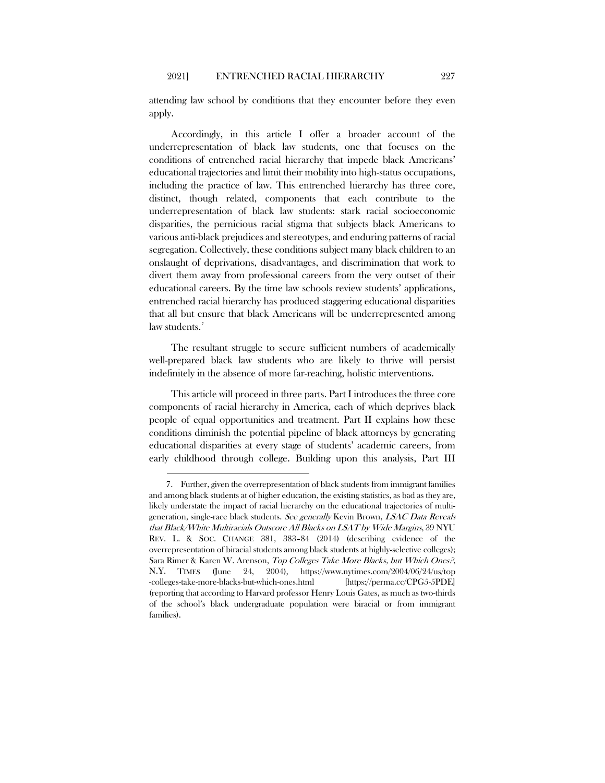attending law school by conditions that they encounter before they even apply.

Accordingly, in this article I offer a broader account of the underrepresentation of black law students, one that focuses on the conditions of entrenched racial hierarchy that impede black Americans' educational trajectories and limit their mobility into high-status occupations, including the practice of law. This entrenched hierarchy has three core, distinct, though related, components that each contribute to the underrepresentation of black law students: stark racial socioeconomic disparities, the pernicious racial stigma that subjects black Americans to various anti-black prejudices and stereotypes, and enduring patterns of racial segregation. Collectively, these conditions subject many black children to an onslaught of deprivations, disadvantages, and discrimination that work to divert them away from professional careers from the very outset of their educational careers. By the time law schools review students' applications, entrenched racial hierarchy has produced staggering educational disparities that all but ensure that black Americans will be underrepresented among law students.<sup>[7](#page-4-0)</sup>

The resultant struggle to secure sufficient numbers of academically well-prepared black law students who are likely to thrive will persist indefinitely in the absence of more far-reaching, holistic interventions.

This article will proceed in three parts. Part I introduces the three core components of racial hierarchy in America, each of which deprives black people of equal opportunities and treatment. Part II explains how these conditions diminish the potential pipeline of black attorneys by generating educational disparities at every stage of students' academic careers, from early childhood through college. Building upon this analysis, Part III

<span id="page-4-0"></span><sup>7.</sup> Further, given the overrepresentation of black students from immigrant families and among black students at of higher education, the existing statistics, as bad as they are, likely understate the impact of racial hierarchy on the educational trajectories of multigeneration, single-race black students. See generally Kevin Brown, LSAC Data Reveals that Black/White Multiracials Outscore All Blacks on LSAT by Wide Margins, 39 NYU REV. L. & SOC. CHANGE 381, 383–84 (2014) (describing evidence of the overrepresentation of biracial students among black students at highly-selective colleges); Sara Rimer & Karen W. Arenson, Top Colleges Take More Blacks, but Which Ones?, N.Y. TIMES (June 24, 2004), https://www.nytimes.com/2004/06/24/us/top -colleges-take-more-blacks-but-which-ones.html [https://perma.cc/CPG5-5PDE] (reporting that according to Harvard professor Henry Louis Gates, as much as two-thirds of the school's black undergraduate population were biracial or from immigrant families).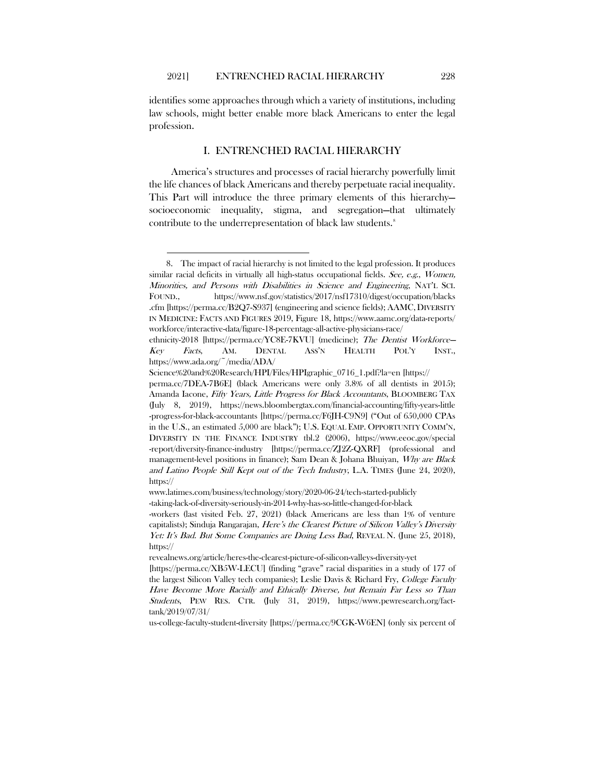identifies some approaches through which a variety of institutions, including law schools, might better enable more black Americans to enter the legal profession.

#### <span id="page-5-1"></span>I. ENTRENCHED RACIAL HIERARCHY

America's structures and processes of racial hierarchy powerfully limit the life chances of black Americans and thereby perpetuate racial inequality. This Part will introduce the three primary elements of this hierarchy socioeconomic inequality, stigma, and segregation—that ultimately contribute to the underrepresentation of black law students.<sup>[8](#page-5-0)</sup>

us-college-faculty-student-diversity [https://perma.cc/9CGK-W6EN] (only six percent of

<span id="page-5-0"></span><sup>8.</sup> The impact of racial hierarchy is not limited to the legal profession. It produces similar racial deficits in virtually all high-status occupational fields. See, e.g., Women, Minorities, and Persons with Disabilities in Science and Engineering, NAT'L SCI. FOUND., https://www.nsf.gov/statistics/2017/nsf17310/digest/occupation/blacks .cfm [https://perma.cc/B2Q7-S937] (engineering and science fields); AAMC, DIVERSITY IN MEDICINE: FACTS AND FIGURES 2019, Figure 18, https://www.aamc.org/data-reports/ workforce/interactive-data/figure-18-percentage-all-active-physicians-race/

ethnicity-2018 [https://perma.cc/YC8E-7KVU] (medicine); The Dentist Workforce— Key Facts, AM. DENTAL ASS'N HEALTH POL'Y INST., https://www.ada.org/~/media/ADA/

Science%20and%20Research/HPI/Files/HPIgraphic\_0716\_1.pdf?la=en [https://

perma.cc/7DEA-7B6E] (black Americans were only 3.8% of all dentists in 2015); Amanda Iacone, Fifty Years, Little Progress for Black Accountants, BLOOMBERG TAX (July 8, 2019), https://news.bloombergtax.com/financial-accounting/fifty-years-little -progress-for-black-accountants [https://perma.cc/F6JH-C9N9] ("Out of 650,000 CPAs in the U.S., an estimated 5,000 are black"); U.S. EQUAL EMP. OPPORTUNITY COMM'N, DIVERSITY IN THE FINANCE INDUSTRY tbl.2 (2006), https://www.eeoc.gov/special -report/diversity-finance-industry [https://perma.cc/ZJ2Z-QXRF] (professional and management-level positions in finance); Sam Dean & Johana Bhuiyan, *Why are Black* and Latino People Still Kept out of the Tech Industry, L.A. TIMES (June 24, 2020), https://

www.latimes.com/business/technology/story/2020-06-24/tech-started-publicly -taking-lack-of-diversity-seriously-in-2014-why-has-so-little-changed-for-black

<sup>-</sup>workers (last visited Feb. 27, 2021) (black Americans are less than 1% of venture capitalists); Sinduja Rangarajan, Here's the Clearest Picture of Silicon Valley's Diversity Yet: It's Bad. But Some Companies are Doing Less Bad, REVEAL N. (June 25, 2018), https://

revealnews.org/article/heres-the-clearest-picture-of-silicon-valleys-diversity-yet

<sup>[</sup>https://perma.cc/XB5W-LECU] (finding "grave" racial disparities in a study of 177 of the largest Silicon Valley tech companies); Leslie Davis & Richard Fry, College Faculty Have Become More Racially and Ethically Diverse, but Remain Far Less so Than Students, PEW RES. CTR. (July 31, 2019), https://www.pewresearch.org/facttank/2019/07/31/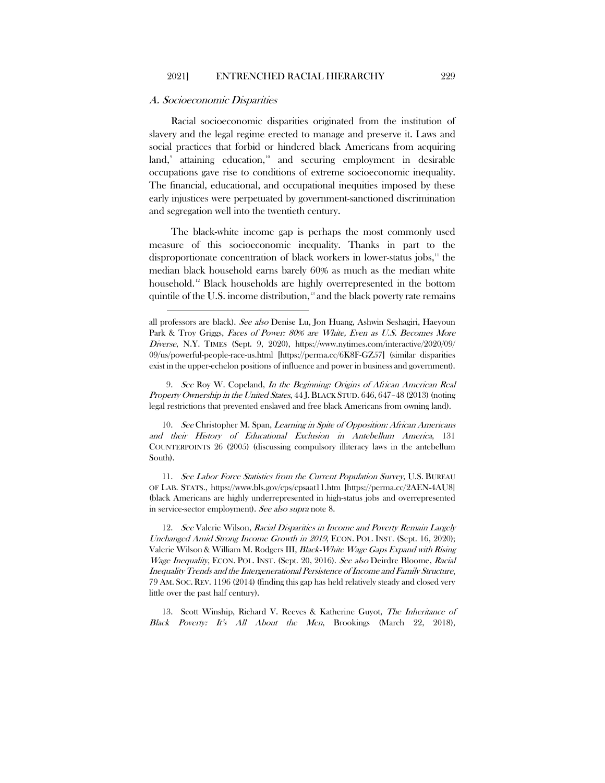#### A. Socioeconomic Disparities

Racial socioeconomic disparities originated from the institution of slavery and the legal regime erected to manage and preserve it. Laws and social practices that forbid or hindered black Americans from acquiring land,<sup>[9](#page-6-0)</sup> attaining education,<sup>[10](#page-6-1)</sup> and securing employment in desirable occupations gave rise to conditions of extreme socioeconomic inequality. The financial, educational, and occupational inequities imposed by these early injustices were perpetuated by government-sanctioned discrimination and segregation well into the twentieth century.

The black-white income gap is perhaps the most commonly used measure of this socioeconomic inequality. Thanks in part to the disproportionate concentration of black workers in lower-status jobs, $<sup>11</sup>$  $<sup>11</sup>$  $<sup>11</sup>$  the</sup> median black household earns barely 60% as much as the median white household. [12](#page-6-3) Black households are highly overrepresented in the bottom quintile of the U.S. income distribution, $13$  and the black poverty rate remains

<span id="page-6-0"></span>9. See Roy W. Copeland, In the Beginning: Origins of African American Real Property Ownership in the United States, 44 J.BLACK STUD. 646, 647–48 (2013) (noting legal restrictions that prevented enslaved and free black Americans from owning land).

<span id="page-6-1"></span>10. See Christopher M. Span, Learning in Spite of Opposition: African Americans and their History of Educational Exclusion in Antebellum America, 131 COUNTERPOINTS 26 (2005) (discussing compulsory illiteracy laws in the antebellum South).

<span id="page-6-2"></span>11. See Labor Force Statistics from the Current Population Survey, U.S. BUREAU OF LAB. STATS., https://www.bls.gov/cps/cpsaat11.htm [https://perma.cc/2AEN-4AU8] (black Americans are highly underrepresented in high-status jobs and overrepresented in service-sector employment). See also supra not[e 8.](#page-5-1)

<span id="page-6-3"></span>12. See Valerie Wilson, Racial Disparities in Income and Poverty Remain Largely Unchanged Amid Strong Income Growth in 2019, ECON. POL. INST. (Sept. 16, 2020); Valerie Wilson & William M. Rodgers III, Black-White Wage Gaps Expand with Rising Wage Inequality, ECON. POL. INST. (Sept. 20, 2016). See also Deirdre Bloome, Racial Inequality Trends and the Intergenerational Persistence of Income and Family Structure, 79 AM. SOC. REV. 1196 (2014) (finding this gap has held relatively steady and closed very little over the past half century).

<span id="page-6-4"></span>13. Scott Winship, Richard V. Reeves & Katherine Guyot, The Inheritance of Black Poverty: It's All About the Men, Brookings (March 22, 2018),

all professors are black). See also Denise Lu, Jon Huang, Ashwin Seshagiri, Haeyoun Park & Troy Griggs, Faces of Power: 80% are White, Even as U.S. Becomes More Diverse, N.Y. TIMES (Sept. 9, 2020), https://www.nytimes.com/interactive/2020/09/ 09/us/powerful-people-race-us.html [https://perma.cc/6K8F-GZ57] (similar disparities exist in the upper-echelon positions of influence and power in business and government).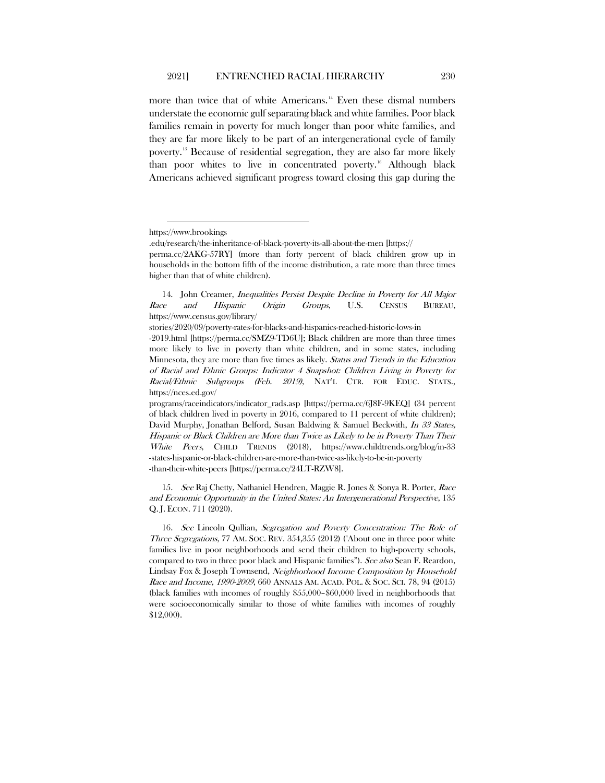<span id="page-7-3"></span>more than twice that of white Americans.<sup>[14](#page-7-0)</sup> Even these dismal numbers understate the economic gulf separating black and white families. Poor black families remain in poverty for much longer than poor white families, and they are far more likely to be part of an intergenerational cycle of family poverty.[15](#page-7-1) Because of residential segregation, they are also far more likely than poor whites to live in concentrated poverty.[16](#page-7-2) Although black Americans achieved significant progress toward closing this gap during the

stories/2020/09/poverty-rates-for-blacks-and-hispanics-reached-historic-lows-in

-2019.html [https://perma.cc/SMZ9-TD6U]; Black children are more than three times more likely to live in poverty than white children, and in some states, including Minnesota, they are more than five times as likely. Status and Trends in the Education of Racial and Ethnic Groups: Indicator 4 Snapshot: Children Living in Poverty for Racial/Ethnic Subgroups (Feb. 2019), NAT'L CTR. FOR EDUC. STATS., https://nces.ed.gov/

programs/raceindicators/indicator\_rads.asp [https://perma.cc/6J8F-9KEQ] (34 percent of black children lived in poverty in 2016, compared to 11 percent of white children); David Murphy, Jonathan Belford, Susan Baldwing & Samuel Beckwith, In 33 States, Hispanic or Black Children are More than Twice as Likely to be in Poverty Than Their White Peers, CHILD TRENDS (2018), https://www.childtrends.org/blog/in-33 -states-hispanic-or-black-children-are-more-than-twice-as-likely-to-be-in-poverty -than-their-white-peers [https://perma.cc/24LT-RZW8].

<span id="page-7-1"></span>15. See Raj Chetty, Nathaniel Hendren, Maggie R. Jones & Sonya R. Porter, Race and Economic Opportunity in the United States: An Intergenerational Perspective, 135 Q. J. ECON. 711 (2020).

<span id="page-7-2"></span>16. See Lincoln Qullian, Segregation and Poverty Concentration: The Role of Three Segregations, 77 AM. SOC. REV. 354,355 (2012) ("About one in three poor white families live in poor neighborhoods and send their children to high-poverty schools, compared to two in three poor black and Hispanic families"). See also Sean F. Reardon, Lindsay Fox & Joseph Townsend, Neighborhood Income Composition by Household Race and Income, 1990-2009, 660 ANNALS AM. ACAD. POL. & SOC. SCI. 78, 94 (2015) (black families with incomes of roughly \$55,000–\$60,000 lived in neighborhoods that were socioeconomically similar to those of white families with incomes of roughly \$12,000).

https://www.brookings

<sup>.</sup>edu/research/the-inheritance-of-black-poverty-its-all-about-the-men [https://

perma.cc/2AKG-57RY] (more than forty percent of black children grow up in households in the bottom fifth of the income distribution, a rate more than three times higher than that of white children).

<span id="page-7-0"></span><sup>14.</sup> John Creamer, Inequalities Persist Despite Decline in Poverty for All Major Race and Hispanic Origin Groups, U.S. CENSUS BUREAU, https://www.census.gov/library/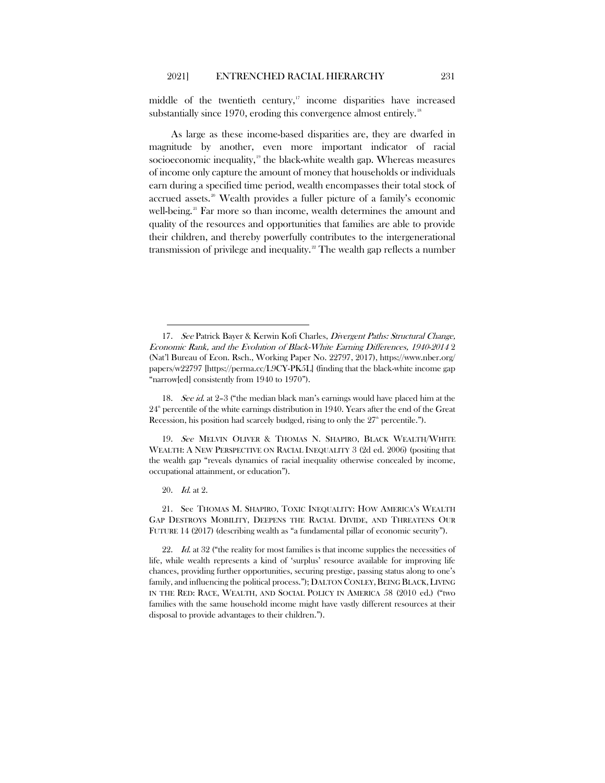middle of the twentieth century, $17$  income disparities have increased substantially since 1970, eroding this convergence almost entirely.<sup>[18](#page-8-1)</sup>

As large as these income-based disparities are, they are dwarfed in magnitude by another, even more important indicator of racial socioeconomic inequality, $19$  the black-white wealth gap. Whereas measures of income only capture the amount of money that households or individuals earn during a specified time period, wealth encompasses their total stock of accrued assets.<sup>[20](#page-8-3)</sup> Wealth provides a fuller picture of a family's economic well-being.<sup>[21](#page-8-4)</sup> Far more so than income, wealth determines the amount and quality of the resources and opportunities that families are able to provide their children, and thereby powerfully contributes to the intergenerational transmission of privilege and inequality.<sup>[22](#page-8-5)</sup> The wealth gap reflects a number

<span id="page-8-2"></span>19. See MELVIN OLIVER & THOMAS N. SHAPIRO, BLACK WEALTH/WHITE WEALTH: A NEW PERSPECTIVE ON RACIAL INEQUALITY 3 (2d ed. 2006) (positing that the wealth gap "reveals dynamics of racial inequality otherwise concealed by income, occupational attainment, or education").

20. Id. at 2.

<span id="page-8-4"></span><span id="page-8-3"></span>21. See THOMAS M. SHAPIRO, TOXIC INEQUALITY: HOW AMERICA'S WEALTH GAP DESTROYS MOBILITY, DEEPENS THE RACIAL DIVIDE, AND THREATENS OUR FUTURE 14 (2017) (describing wealth as "a fundamental pillar of economic security").

<span id="page-8-5"></span>22. *Id.* at 32 ("the reality for most families is that income supplies the necessities of life, while wealth represents a kind of 'surplus' resource available for improving life chances, providing further opportunities, securing prestige, passing status along to one's family, and influencing the political process."); DALTON CONLEY, BEING BLACK, LIVING IN THE RED: RACE, WEALTH, AND SOCIAL POLICY IN AMERICA 58 (2010 ed.) ("two families with the same household income might have vastly different resources at their disposal to provide advantages to their children.").

<span id="page-8-6"></span><span id="page-8-0"></span><sup>17.</sup> See Patrick Bayer & Kerwin Kofi Charles, Divergent Paths: Structural Change, Economic Rank, and the Evolution of Black-White Earning Differences, 1940-2014 2 (Nat'l Bureau of Econ. Rsch., Working Paper No. 22797, 2017), https://www.nber.org/ papers/w22797 [https://perma.cc/L9CY-PK5L] (finding that the black-white income gap "narrow[ed] consistently from 1940 to 1970").

<span id="page-8-1"></span><sup>18.</sup> See id. at 2–3 ("the median black man's earnings would have placed him at the  $24^{\text{th}}$  percentile of the white earnings distribution in 1940. Years after the end of the Great Recession, his position had scarcely budged, rising to only the  $27<sup>th</sup>$  percentile.").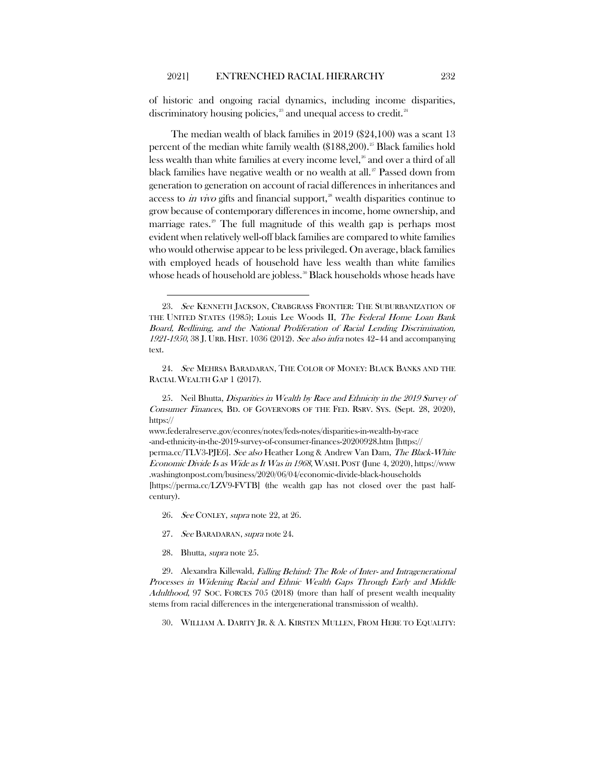<span id="page-9-0"></span>of historic and ongoing racial dynamics, including income disparities, discriminatory housing policies, $2^3$  and unequal access to credit.<sup>[24](#page-9-3)</sup>

<span id="page-9-1"></span>The median wealth of black families in 2019 (\$24,100) was a scant 13 percent of the median white family wealth (\$188,200).<sup>[25](#page-9-4)</sup> Black families hold less wealth than white families at every income level, $26$  and over a third of all black families have negative wealth or no wealth at all.<sup>[27](#page-9-6)</sup> Passed down from generation to generation on account of racial differences in inheritances and access to in vivo gifts and financial support,<sup>[28](#page-9-7)</sup> wealth disparities continue to grow because of contemporary differences in income, home ownership, and marriage rates. $29$  The full magnitude of this wealth gap is perhaps most evident when relatively well-off black families are compared to white families who would otherwise appear to be less privileged. On average, black families with employed heads of household have less wealth than white families whose heads of household are jobless.<sup>[30](#page-9-9)</sup> Black households whose heads have

www.federalreserve.gov/econres/notes/feds-notes/disparities-in-wealth-by-race -and-ethnicity-in-the-2019-survey-of-consumer-finances-20200928.htm [https:// perma.cc/TLV3-PJE6]. See also Heather Long & Andrew Van Dam, The Black-White Economic Divide Is as Wide as It Was in 1968, WASH. POST (June 4, 2020), https://www. .washingtonpost.com/business/2020/06/04/economic-divide-black-households [https://perma.cc/LZV9-FVTB] (the wealth gap has not closed over the past halfcentury).

- 26. See CONLEY, supra not[e 22,](#page-8-6) at 26.
- 27. See BARADARAN, supra note [24.](#page-9-0)
- 28. Bhutta, supra note [25.](#page-9-1)

<span id="page-9-9"></span><span id="page-9-8"></span><span id="page-9-7"></span><span id="page-9-6"></span><span id="page-9-5"></span>29. Alexandra Killewald, Falling Behind: The Role of Inter- and Intragenerational Processes in Widening Racial and Ethnic Wealth Gaps Through Early and Middle Adulthood, 97 SOC. FORCES 705 (2018) (more than half of present wealth inequality stems from racial differences in the intergenerational transmission of wealth).

30. WILLIAM A. DARITY JR. & A. KIRSTEN MULLEN, FROM HERE TO EQUALITY:

<span id="page-9-2"></span><sup>23.</sup> See KENNETH JACKSON, CRABGRASS FRONTIER: THE SUBURBANIZATION OF THE UNITED STATES (1985); Louis Lee Woods II, The Federal Home Loan Bank Board, Redlining, and the National Proliferation of Racial Lending Discrimination,  $1921-1950$ , 38 J. URB. HIST. 1036 (2012). See also infra notes 42-[44](#page-12-1) and accompanying text.

<span id="page-9-3"></span><sup>24.</sup> See MEHRSA BARADARAN, THE COLOR OF MONEY: BLACK BANKS AND THE RACIAL WEALTH GAP 1 (2017).

<span id="page-9-4"></span><sup>25.</sup> Neil Bhutta, Disparities in Wealth by Race and Ethnicity in the 2019 Survey of Consumer Finances, BD. OF GOVERNORS OF THE FED. RSRV. SYS. (Sept. 28, 2020), https://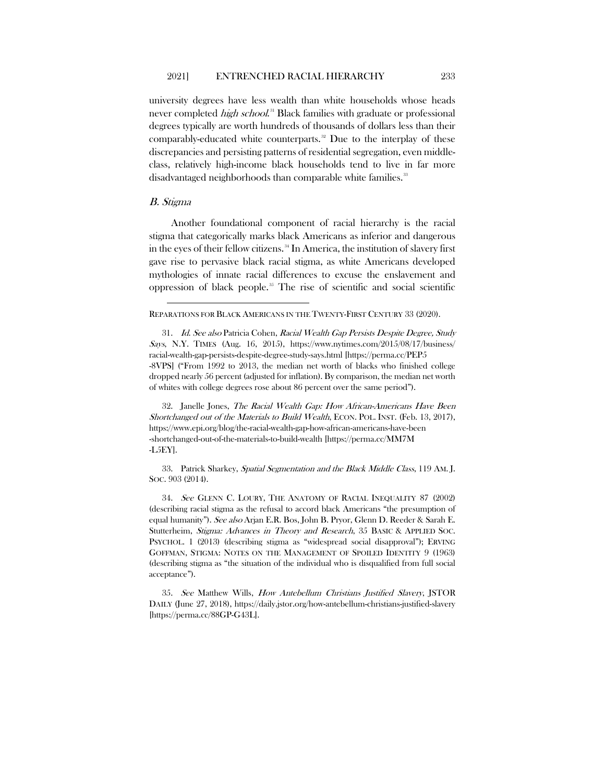<span id="page-10-5"></span>university degrees have less wealth than white households whose heads never completed *high school*.<sup>[31](#page-10-0)</sup> Black families with graduate or professional degrees typically are worth hundreds of thousands of dollars less than their comparably-educated white counterparts. $32$  Due to the interplay of these discrepancies and persisting patterns of residential segregation, even middleclass, relatively high-income black households tend to live in far more disadvantaged neighborhoods than comparable white families.<sup>[33](#page-10-2)</sup>

### B. Stigma

Another foundational component of racial hierarchy is the racial stigma that categorically marks black Americans as inferior and dangerous in the eyes of their fellow citizens. [34](#page-10-3) In America, the institution of slavery first gave rise to pervasive black racial stigma, as white Americans developed mythologies of innate racial differences to excuse the enslavement and oppression of black people.<sup>[35](#page-10-4)</sup> The rise of scientific and social scientific

#### REPARATIONS FOR BLACK AMERICANS IN THE TWENTY-FIRST CENTURY 33 (2020).

<span id="page-10-0"></span>31. Id. See also Patricia Cohen, Racial Wealth Gap Persists Despite Degree, Study Says, N.Y. TIMES (Aug. 16, 2015), https://www.nytimes.com/2015/08/17/business/ racial-wealth-gap-persists-despite-degree-study-says.html [https://perma.cc/PEP5 -8VPS] ("From 1992 to 2013, the median net worth of blacks who finished college dropped nearly 56 percent (adjusted for inflation). By comparison, the median net worth of whites with college degrees rose about 86 percent over the same period").

<span id="page-10-1"></span>32. Janelle Jones, The Racial Wealth Gap: How African-Americans Have Been Shortchanged out of the Materials to Build Wealth, ECON. POL. INST. (Feb. 13, 2017), https://www.epi.org/blog/the-racial-wealth-gap-how-african-americans-have-been -shortchanged-out-of-the-materials-to-build-wealth [https://perma.cc/MM7M -L5EY].

<span id="page-10-2"></span>33. Patrick Sharkey, Spatial Segmentation and the Black Middle Class, 119 AM. J. SOC. 903 (2014).

<span id="page-10-3"></span>34. See GLENN C. LOURY, THE ANATOMY OF RACIAL INEQUALITY 87 (2002) (describing racial stigma as the refusal to accord black Americans "the presumption of equal humanity"). See also Arjan E.R. Bos, John B. Pryor, Glenn D. Reeder & Sarah E. Stutterheim, Stigma: Advances in Theory and Research, 35 BASIC & APPLIED SOC. PSYCHOL. 1 (2013) (describing stigma as "widespread social disapproval"); ERVING GOFFMAN, STIGMA: NOTES ON THE MANAGEMENT OF SPOILED IDENTITY 9 (1963) (describing stigma as "the situation of the individual who is disqualified from full social acceptance").

<span id="page-10-4"></span>35. See Matthew Wills, How Antebellum Christians Justified Slavery, JSTOR DAILY (June 27, 2018), https://daily.jstor.org/how-antebellum-christians-justified-slavery [https://perma.cc/88GP-G43L].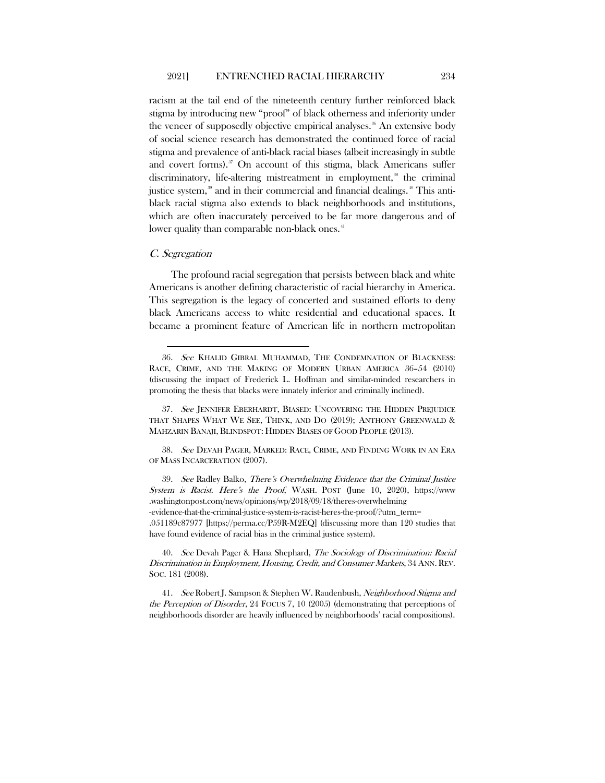racism at the tail end of the nineteenth century further reinforced black stigma by introducing new "proof" of black otherness and inferiority under the veneer of supposedly objective empirical analyses.<sup>[36](#page-11-0)</sup> An extensive body of social science research has demonstrated the continued force of racial stigma and prevalence of anti-black racial biases (albeit increasingly in subtle and covert forms). $37$  On account of this stigma, black Americans suffer discriminatory, life-altering mistreatment in employment,<sup>[38](#page-11-2)</sup> the criminal justice system,<sup>[39](#page-11-3)</sup> and in their commercial and financial dealings.<sup>[40](#page-11-4)</sup> This antiblack racial stigma also extends to black neighborhoods and institutions, which are often inaccurately perceived to be far more dangerous and of lower quality than comparable non-black ones.<sup>[41](#page-11-5)</sup>

#### C. Segregation

The profound racial segregation that persists between black and white Americans is another defining characteristic of racial hierarchy in America. This segregation is the legacy of concerted and sustained efforts to deny black Americans access to white residential and educational spaces. It became a prominent feature of American life in northern metropolitan

<span id="page-11-2"></span>38. See DEVAH PAGER, MARKED: RACE, CRIME, AND FINDING WORK IN AN ERA OF MASS INCARCERATION (2007).

<span id="page-11-3"></span>39. See Radley Balko, There's Overwhelming Evidence that the Criminal Justice System is Racist. Here's the Proof, WASH. POST (June 10, 2020), https://www .washingtonpost.com/news/opinions/wp/2018/09/18/theres-overwhelming -evidence-that-the-criminal-justice-system-is-racist-heres-the-proof/?utm\_term= .051189c87977 [https://perma.cc/P59R-M2EQ] (discussing more than 120 studies that have found evidence of racial bias in the criminal justice system).

<span id="page-11-4"></span>40. See Devah Pager & Hana Shephard, The Sociology of Discrimination: Racial Discrimination in Employment, Housing, Credit, and Consumer Markets, 34 ANN. REV. SOC. 181 (2008).

<span id="page-11-5"></span>41. See Robert J. Sampson & Stephen W. Raudenbush, Neighborhood Stigma and the Perception of Disorder, 24 FOCUS 7, 10 (2005) (demonstrating that perceptions of neighborhoods disorder are heavily influenced by neighborhoods' racial compositions).

<span id="page-11-0"></span><sup>36.</sup> See KHALID GIBRAL MUHAMMAD, THE CONDEMNATION OF BLACKNESS: RACE, CRIME, AND THE MAKING OF MODERN URBAN AMERICA 36–54 (2010) (discussing the impact of Frederick L. Hoffman and similar-minded researchers in promoting the thesis that blacks were innately inferior and criminally inclined).

<span id="page-11-1"></span><sup>37.</sup> See JENNIFER EBERHARDT, BIASED: UNCOVERING THE HIDDEN PREJUDICE THAT SHAPES WHAT WE SEE, THINK, AND DO (2019); ANTHONY GREENWALD & MAHZARIN BANAJI, BLINDSPOT: HIDDEN BIASES OF GOOD PEOPLE (2013).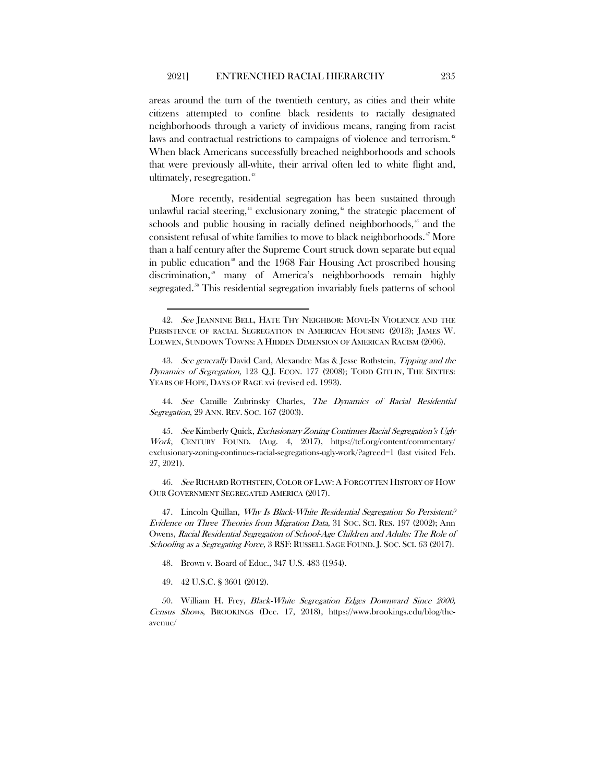<span id="page-12-0"></span>areas around the turn of the twentieth century, as cities and their white citizens attempted to confine black residents to racially designated neighborhoods through a variety of invidious means, ranging from racist laws and contractual restrictions to campaigns of violence and terrorism.<sup>[42](#page-12-2)</sup> When black Americans successfully breached neighborhoods and schools that were previously all-white, their arrival often led to white flight and, ultimately, resegregation.<sup>[43](#page-12-3)</sup>

<span id="page-12-1"></span>More recently, residential segregation has been sustained through unlawful racial steering,<sup>[44](#page-12-4)</sup> exclusionary zoning,<sup>[45](#page-12-5)</sup> the strategic placement of schools and public housing in racially defined neighborhoods, $\frac{46}{5}$  $\frac{46}{5}$  $\frac{46}{5}$  and the consistent refusal of white families to move to black neighborhoods. [47](#page-12-7) More than a half century after the Supreme Court struck down separate but equal in public education<sup>[48](#page-12-8)</sup> and the 1968 Fair Housing Act proscribed housing discrimination,<sup>[49](#page-12-9)</sup> many of America's neighborhoods remain highly segregated.<sup>30</sup> This residential segregation invariably fuels patterns of school

<span id="page-12-2"></span><sup>42.</sup> See JEANNINE BELL, HATE THY NEIGHBOR: MOVE-IN VIOLENCE AND THE PERSISTENCE OF RACIAL SEGREGATION IN AMERICAN HOUSING (2013); JAMES W. LOEWEN, SUNDOWN TOWNS: A HIDDEN DIMENSION OF AMERICAN RACISM (2006).

<span id="page-12-3"></span><sup>43.</sup> See generally David Card, Alexandre Mas & Jesse Rothstein, Tipping and the Dynamics of Segregation, 123 Q.J. ECON. 177 (2008); TODD GITLIN, THE SIXTIES: YEARS OF HOPE, DAYS OF RAGE xvi (revised ed. 1993).

<span id="page-12-4"></span><sup>44.</sup> See Camille Zubrinsky Charles, The Dynamics of Racial Residential Segregation, 29 ANN. REV. SOC. 167 (2003).

<span id="page-12-5"></span><sup>45.</sup> See Kimberly Quick, Exclusionary Zoning Continues Racial Segregation's Ugly Work, CENTURY FOUND. (Aug. 4, 2017), https://tcf.org/content/commentary/ exclusionary-zoning-continues-racial-segregations-ugly-work/?agreed=1 (last visited Feb. 27, 2021).

<span id="page-12-6"></span><sup>46.</sup> See RICHARD ROTHSTEIN, COLOR OF LAW: A FORGOTTEN HISTORY OF HOW OUR GOVERNMENT SEGREGATED AMERICA (2017).

<span id="page-12-7"></span><sup>47.</sup> Lincoln Quillan, *Why Is Black-White Residential Segregation So Persistent?* Evidence on Three Theories from Migration Data, 31 SOC. SCI. RES. 197 (2002); Ann Owens, Racial Residential Segregation of School-Age Children and Adults: The Role of Schooling as a Segregating Force, 3 RSF: RUSSELL SAGE FOUND. J. SOC. SCI. 63 (2017).

<sup>48.</sup> Brown v. Board of Educ., 347 U.S. 483 (1954).

<sup>49.</sup> 42 U.S.C. § 3601 (2012).

<span id="page-12-10"></span><span id="page-12-9"></span><span id="page-12-8"></span><sup>50.</sup> William H. Frey, Black-White Segregation Edges Downward Since 2000, Census Shows, BROOKINGS (Dec. 17, 2018), https://www.brookings.edu/blog/theavenue/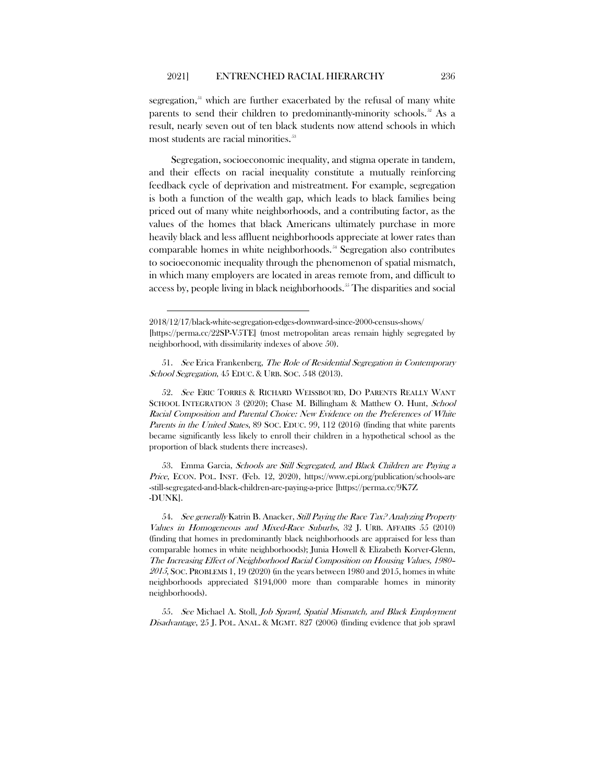segregation, $51$  which are further exacerbated by the refusal of many white parents to send their children to predominantly-minority schools.<sup>[52](#page-13-1)</sup> As a result, nearly seven out of ten black students now attend schools in which most students are racial minorities.<sup>[53](#page-13-2)</sup>

Segregation, socioeconomic inequality, and stigma operate in tandem, and their effects on racial inequality constitute a mutually reinforcing feedback cycle of deprivation and mistreatment. For example, segregation is both a function of the wealth gap, which leads to black families being priced out of many white neighborhoods, and a contributing factor, as the values of the homes that black Americans ultimately purchase in more heavily black and less affluent neighborhoods appreciate at lower rates than comparable homes in white neighborhoods.<sup>[54](#page-13-3)</sup> Segregation also contributes to socioeconomic inequality through the phenomenon of spatial mismatch, in which many employers are located in areas remote from, and difficult to access by, people living in black neighborhoods.<sup>[55](#page-13-4)</sup> The disparities and social

<span id="page-13-0"></span>51. See Erica Frankenberg, The Role of Residential Segregation in Contemporary School Segregation, 45 EDUC. & URB. SOC. 548 (2013).

<span id="page-13-1"></span>52. See ERIC TORRES & RICHARD WEISSBOURD, DO PARENTS REALLY WANT SCHOOL INTEGRATION 3 (2020); Chase M. Billingham & Matthew O. Hunt, School Racial Composition and Parental Choice: New Evidence on the Preferences of White Parents in the United States, 89 Soc. EDUC. 99, 112 (2016) (finding that white parents became significantly less likely to enroll their children in a hypothetical school as the proportion of black students there increases).

<span id="page-13-2"></span>53. Emma Garcia, Schools are Still Segregated, and Black Children are Paying a Price, ECON. POL. INST. (Feb. 12, 2020), https://www.epi.org/publication/schools-are -still-segregated-and-black-children-are-paying-a-price [https://perma.cc/9K7Z -DUNK].

<span id="page-13-3"></span>54. See generally Katrin B. Anacker, Still Paying the Race Tax? Analyzing Property Values in Homogeneous and Mixed-Race Suburbs, 32 J. URB. AFFAIRS 55 (2010) (finding that homes in predominantly black neighborhoods are appraised for less than comparable homes in white neighborhoods); Junia Howell & Elizabeth Korver-Glenn, The Increasing Effect of Neighborhood Racial Composition on Housing Values, 1980– <sup>2015</sup>, SOC. PROBLEMS 1, 19 (2020) (in the years between 1980 and 2015, homes in white neighborhoods appreciated \$194,000 more than comparable homes in minority neighborhoods).

<span id="page-13-4"></span>55. See Michael A. Stoll, Job Sprawl, Spatial Mismatch, and Black Employment Disadvantage, 25 J. POL. ANAL. & MGMT. 827 (2006) (finding evidence that job sprawl

<sup>2018/12/17/</sup>black-white-segregation-edges-downward-since-2000-census-shows/ [https://perma.cc/22SP-V5TE] (most metropolitan areas remain highly segregated by neighborhood, with dissimilarity indexes of above 50).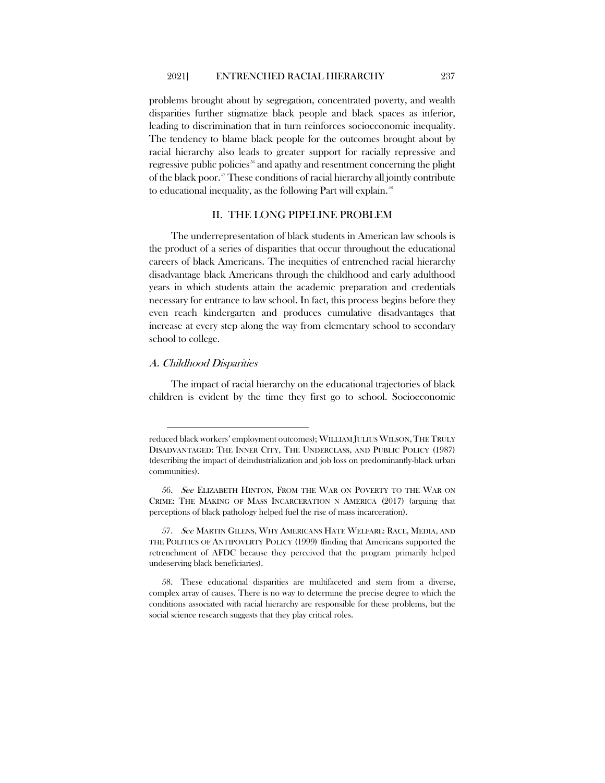problems brought about by segregation, concentrated poverty, and wealth disparities further stigmatize black people and black spaces as inferior, leading to discrimination that in turn reinforces socioeconomic inequality. The tendency to blame black people for the outcomes brought about by racial hierarchy also leads to greater support for racially repressive and regressive public policies<sup>36</sup> and apathy and resentment concerning the plight of the black poor.<sup>[57](#page-14-1)</sup> These conditions of racial hierarchy all jointly contribute to educational inequality, as the following Part will explain.<sup>[58](#page-14-2)</sup>

# <span id="page-14-3"></span>II. THE LONG PIPELINE PROBLEM

The underrepresentation of black students in American law schools is the product of a series of disparities that occur throughout the educational careers of black Americans. The inequities of entrenched racial hierarchy disadvantage black Americans through the childhood and early adulthood years in which students attain the academic preparation and credentials necessary for entrance to law school. In fact, this process begins before they even reach kindergarten and produces cumulative disadvantages that increase at every step along the way from elementary school to secondary school to college.

# A. Childhood Disparities

The impact of racial hierarchy on the educational trajectories of black children is evident by the time they first go to school. Socioeconomic

reduced black workers' employment outcomes); WILLIAM JULIUS WILSON,THE TRULY DISADVANTAGED: THE INNER CITY, THE UNDERCLASS, AND PUBLIC POLICY (1987) (describing the impact of deindustrialization and job loss on predominantly-black urban communities).

<span id="page-14-0"></span><sup>56.</sup> See ELIZABETH HINTON, FROM THE WAR ON POVERTY TO THE WAR ON CRIME: THE MAKING OF MASS INCARCERATION N AMERICA (2017) (arguing that perceptions of black pathology helped fuel the rise of mass incarceration).

<span id="page-14-1"></span><sup>57.</sup> See MARTIN GILENS, WHY AMERICANS HATE WELFARE: RACE, MEDIA, AND THE POLITICS OF ANTIPOVERTY POLICY (1999) (finding that Americans supported the retrenchment of AFDC because they perceived that the program primarily helped undeserving black beneficiaries).

<span id="page-14-2"></span><sup>58.</sup> These educational disparities are multifaceted and stem from a diverse, complex array of causes. There is no way to determine the precise degree to which the conditions associated with racial hierarchy are responsible for these problems, but the social science research suggests that they play critical roles.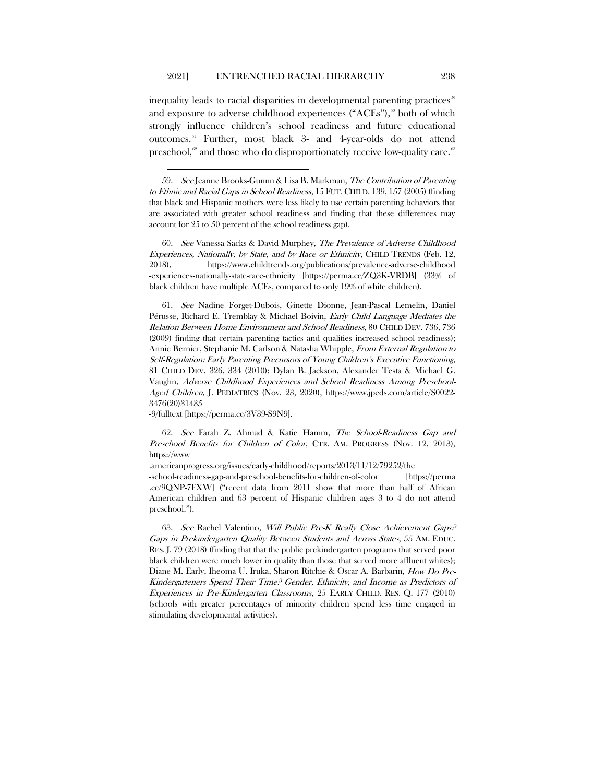inequality leads to racial disparities in developmental parenting practices<sup>39</sup> and exposure to adverse childhood experiences ("ACEs"),<sup> $\omega$ </sup> both of which strongly influence children's school readiness and future educational outcomes.[61](#page-15-2) Further, most black 3- and 4-year-olds do not attend preschool, $\alpha$ <sup>8</sup> and those who do disproportionately receive low-quality care.

<span id="page-15-1"></span>60. See Vanessa Sacks & David Murphey, The Prevalence of Adverse Childhood Experiences, Nationally, by State, and by Race or Ethnicity, CHILD TRENDS (Feb. 12, 2018), https://www.childtrends.org/publications/prevalence-adverse-childhood -experiences-nationally-state-race-ethnicity [https://perma.cc/ZQ3K-VRDB] (33% of black children have multiple ACEs, compared to only 19% of white children).

<span id="page-15-2"></span>61. See Nadine Forget-Dubois, Ginette Dionne, Jean-Pascal Lemelin, Daniel Pérusse, Richard E. Tremblay & Michael Boivin, Early Child Language Mediates the Relation Between Home Environment and School Readiness, 80 CHILD DEV. 736, 736 (2009) finding that certain parenting tactics and qualities increased school readiness); Annie Bernier, Stephanie M. Carlson & Natasha Whipple, From External Regulation to Self-Regulation: Early Parenting Precursors of Young Children's Executive Functioning, 81 CHILD DEV. 326, 334 (2010); Dylan B. Jackson, Alexander Testa & Michael G. Vaughn, Adverse Childhood Experiences and School Readiness Among Preschool-Aged Children, J. PEDIATRICS (Nov. 23, 2020), https://www.jpeds.com/article/S0022- 3476(20)31435

-9/fulltext [https://perma.cc/3V39-S9N9].

<span id="page-15-3"></span>62. See Farah Z. Ahmad & Katie Hamm, The School-Readiness Gap and Preschool Benefits for Children of Color, CTR. AM. PROGRESS (Nov. 12, 2013), https://www

.americanprogress.org/issues/early-childhood/reports/2013/11/12/79252/the -school-readiness-gap-and-preschool-benefits-for-children-of-color [https://perma .cc/9QNP-7FXW] ("recent data from 2011 show that more than half of African American children and 63 percent of Hispanic children ages 3 to 4 do not attend preschool.").

<span id="page-15-4"></span>63. See Rachel Valentino, Will Public Pre-K Really Close Achievement Gaps? Gaps in Prekindergarten Quality Between Students and Across States, 55 AM. EDUC. RES. J. 79 (2018) (finding that that the public prekindergarten programs that served poor black children were much lower in quality than those that served more affluent whites); Diane M. Early, Iheoma U. Iruka, Sharon Ritchie & Oscar A. Barbarin, How Do Pre-Kindergarteners Spend Their Time? Gender, Ethnicity, and Income as Predictors of Experiences in Pre-Kindergarten Classrooms, 25 EARLY CHILD. RES. Q. 177 (2010) (schools with greater percentages of minority children spend less time engaged in stimulating developmental activities).

<span id="page-15-0"></span><sup>59.</sup> See Jeanne Brooks-Gunnn & Lisa B. Markman, The Contribution of Parenting to Ethnic and Racial Gaps in School Readiness, 15 FUT. CHILD. 139, 157 (2005) (finding that black and Hispanic mothers were less likely to use certain parenting behaviors that are associated with greater school readiness and finding that these differences may account for 25 to 50 percent of the school readiness gap).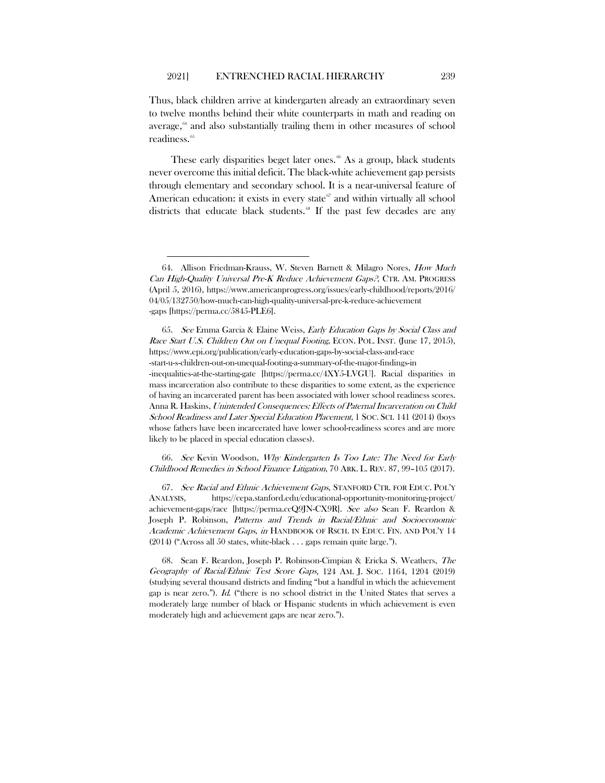Thus, black children arrive at kindergarten already an extraordinary seven to twelve months behind their white counterparts in math and reading on average, $64$  and also substantially trailing them in other measures of school readiness.<sup>[65](#page-16-1)</sup>

<span id="page-16-6"></span><span id="page-16-5"></span>These early disparities beget later ones.<sup>[66](#page-16-2)</sup> As a group, black students never overcome this initial deficit. The black-white achievement gap persists through elementary and secondary school. It is a near-universal feature of American education: it exists in every state $\sigma$  and within virtually all school districts that educate black students.<sup>[68](#page-16-4)</sup> If the past few decades are any

<span id="page-16-1"></span>65. See Emma Garcia & Elaine Weiss, Early Education Gaps by Social Class and Race Start U.S. Children Out on Unequal Footing, ECON. POL. INST. (June 17, 2015), https://www.epi.org/publication/early-education-gaps-by-social-class-and-race -start-u-s-children-out-on-unequal-footing-a-summary-of-the-major-findings-in -inequalities-at-the-starting-gate [https://perma.cc/4XY5-LVGU]. Racial disparities in mass incarceration also contribute to these disparities to some extent, as the experience of having an incarcerated parent has been associated with lower school readiness scores. Anna R. Haskins, Unintended Consequences: Effects of Paternal Incarceration on Child School Readiness and Later Special Education Placement, 1 SOC. SCI. 141 (2014) (boys whose fathers have been incarcerated have lower school-readiness scores and are more likely to be placed in special education classes).

<span id="page-16-2"></span>66. See Kevin Woodson, Why Kindergarten Is Too Late: The Need for Early Childhood Remedies in School Finance Litigation, 70 ARK. L. REV. 87, 99–105 (2017).

<span id="page-16-3"></span>67. See Racial and Ethnic Achievement Gaps, STANFORD CTR. FOR EDUC. POL'Y ANALYSIS, https://cepa.stanford.edu/educational-opportunity-monitoring-project/ achievement-gaps/race [https://perma.ccQ9JN-CX9R]. See also Sean F. Reardon & Joseph P. Robinson, Patterns and Trends in Racial/Ethnic and Socioeconomic Academic Achievement Gaps, in HANDBOOK OF RSCH. IN EDUC. FIN. AND POL'Y 14 (2014) ("Across all 50 states, white-black . . . gaps remain quite large.").

<span id="page-16-4"></span>68. Sean F. Reardon, Joseph P. Robinson-Cimpian & Ericka S. Weathers, The Geography of Racial/Ethnic Test Score Gaps, 124 AM. J. SOC. 1164, 1204 (2019) (studying several thousand districts and finding "but a handful in which the achievement gap is near zero."). Id. ("there is no school district in the United States that serves a moderately large number of black or Hispanic students in which achievement is even moderately high and achievement gaps are near zero.").

<span id="page-16-0"></span><sup>64.</sup> Allison Friedman-Krauss, W. Steven Barnett & Milagro Nores, How Much Can High-Quality Universal Pre-K Reduce Achievement Gaps?, CTR. AM. PROGRESS (April 5, 2016), https://www.americanprogress.org/issues/early-childhood/reports/2016/ 04/05/132750/how-much-can-high-quality-universal-pre-k-reduce-achievement -gaps [https://perma.cc/5845-PLE6].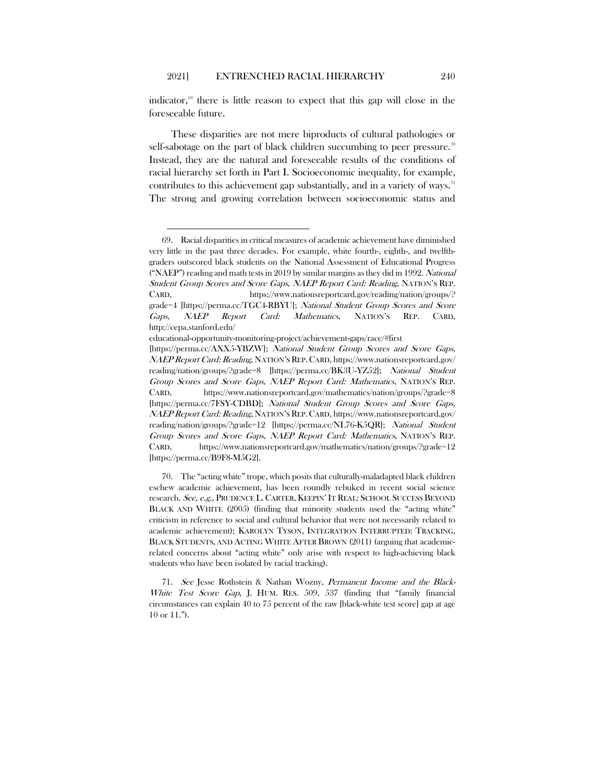indicator, $\mathscr{F}$  there is little reason to expect that this gap will close in the foreseeable future.

These disparities are not mere biproducts of cultural pathologies or self-sabotage on the part of black children succumbing to peer pressure.<sup>[70](#page-17-1)</sup> Instead, they are the natural and foreseeable results of the conditions of racial hierarchy set forth in Part I. Socioeconomic inequality, for example, contributes to this achievement gap substantially, and in a variety of ways.<sup>[71](#page-17-2)</sup> The strong and growing correlation between socioeconomic status and

educational-opportunity-monitoring-project/achievement-gaps/race/#first

<span id="page-17-0"></span><sup>69.</sup> Racial disparities in critical measures of academic achievement have diminished very little in the past three decades. For example, white fourth-, eighth-, and twelfthgraders outscored black students on the National Assessment of Educational Progress ("NAEP") reading and math tests in 2019 by similar margins as they did in 1992. National Student Group Scores and Score Gaps, NAEP Report Card: Reading, NATION'S REP. CARD, https://www.nationsreportcard.gov/reading/nation/groups/? grade=4 [https://perma.cc/TGC4-RBYU]; National Student Group Scores and Score Gaps, NAEP Report Card: Mathematics, NATION'S REP. CARD, http://cepa.stanford.edu/

<sup>[</sup>https://perma.cc/AXX5-YBZW]; National Student Group Scores and Score Gaps, NAEP Report Card: Reading, NATION'S REP.CARD, https://www.nationsreportcard.gov/ reading/nation/groups/?grade=8 [https://perma.cc/BK3U-YZ52]; National Student Group Scores and Score Gaps, NAEP Report Card: Mathematics, NATION'S REP. CARD, https://www.nationsreportcard.gov/mathematics/nation/groups/?grade=8 [https://perma.cc/7FSY-CDBD]; National Student Group Scores and Score Gaps, NAEP Report Card: Reading, NATION'S REP.CARD, https://www.nationsreportcard.gov/ reading/nation/groups/?grade=12 [https://perma.cc/NL76-K5QR]; National Student Group Scores and Score Gaps, NAEP Report Card: Mathematics, NATION'S REP. CARD, https://www.nationsreportcard.gov/mathematics/nation/groups/?grade=12 [https://perma.cc/B9F8-M5G2].

<span id="page-17-1"></span><sup>70.</sup> The "acting white" trope, which posits that culturally-maladapted black children eschew academic achievement, has been roundly rebuked in recent social science research. See, e.g., PRUDENCE L. CARTER, KEEPIN'IT REAL: SCHOOL SUCCESS BEYOND BLACK AND WHITE (2005) (finding that minority students used the "acting white" criticism in reference to social and cultural behavior that were not necessarily related to academic achievement); KAROLYN TYSON, INTEGRATION INTERRUPTED: TRACKING, BLACK STUDENTS, AND ACTING WHITE AFTER BROWN (2011) (arguing that academicrelated concerns about "acting white" only arise with respect to high-achieving black students who have been isolated by racial tracking).

<span id="page-17-2"></span><sup>71.</sup> See Jesse Rothstein & Nathan Wozny, Permanent Income and the Black-White Test Score Gap, J. HUM. RES. 509, 537 (finding that "family financial circumstances can explain 40 to 75 percent of the raw [black-white test score] gap at age 10 or 11.").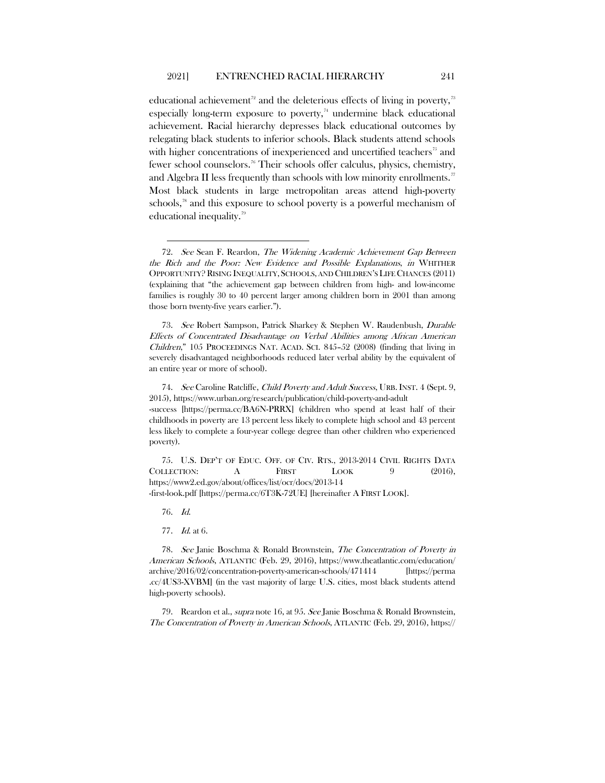<span id="page-18-8"></span>educational achievement<sup>[72](#page-18-0)</sup> and the deleterious effects of living in poverty,<sup>[73](#page-18-1)</sup> especially long-term exposure to poverty, $74$  undermine black educational achievement. Racial hierarchy depresses black educational outcomes by relegating black students to inferior schools. Black students attend schools with higher concentrations of inexperienced and uncertified teachers<sup>[75](#page-18-3)</sup> and fewer school counselors.<sup>[76](#page-18-4)</sup> Their schools offer calculus, physics, chemistry, and Algebra II less frequently than schools with low minority enrollments.<sup>[77](#page-18-5)</sup> Most black students in large metropolitan areas attend high-poverty schools,<sup>[78](#page-18-6)</sup> and this exposure to school poverty is a powerful mechanism of educational inequality.[79](#page-18-7)

<span id="page-18-1"></span>73. See Robert Sampson, Patrick Sharkey & Stephen W. Raudenbush, Durable Effects of Concentrated Disadvantage on Verbal Abilities among African American Children," 105 PROCEEDINGS NAT. ACAD. SCI. 845–52 (2008) (finding that living in severely disadvantaged neighborhoods reduced later verbal ability by the equivalent of an entire year or more of school).

<span id="page-18-2"></span>74. See Caroline Ratcliffe, Child Poverty and Adult Success, URB. INST. 4 (Sept. 9, 2015), https://www.urban.org/research/publication/child-poverty-and-adult

-success [https://perma.cc/BA6N-PRRX] (children who spend at least half of their childhoods in poverty are 13 percent less likely to complete high school and 43 percent less likely to complete a four-year college degree than other children who experienced poverty).

<span id="page-18-3"></span>75. U.S. DEP'T OF EDUC. OFF. OF CIV. RTS., 2013-2014 CIVIL RIGHTS DATA COLLECTION: A FIRST LOOK 9 (2016), https://www2.ed.gov/about/offices/list/ocr/docs/2013-14 -first-look.pdf [https://perma.cc/6T3K-72UE] [hereinafter A FIRST LOOK].

76. Id.

77. Id. at 6.

<span id="page-18-6"></span><span id="page-18-5"></span><span id="page-18-4"></span>78. See Janie Boschma & Ronald Brownstein, The Concentration of Poverty in American Schools, ATLANTIC (Feb. 29, 2016), https://www.theatlantic.com/education/ archive/2016/02/concentration-poverty-american-schools/471414 [https://perma .cc/4US3-XVBM] (in the vast majority of large U.S. cities, most black students attend high-poverty schools).

<span id="page-18-7"></span>79. Reardon et al., supra note [16,](#page-7-3) at 95. See Janie Boschma & Ronald Brownstein, The Concentration of Poverty in American Schools, ATLANTIC (Feb. 29, 2016), https://

<span id="page-18-0"></span><sup>72.</sup> See Sean F. Reardon, The Widening Academic Achievement Gap Between the Rich and the Poor: New Evidence and Possible Explanations, in WHITHER OPPORTUNITY? RISING INEQUALITY, SCHOOLS, AND CHILDREN'S LIFE CHANCES (2011) (explaining that "the achievement gap between children from high- and low-income families is roughly 30 to 40 percent larger among children born in 2001 than among those born twenty-five years earlier.").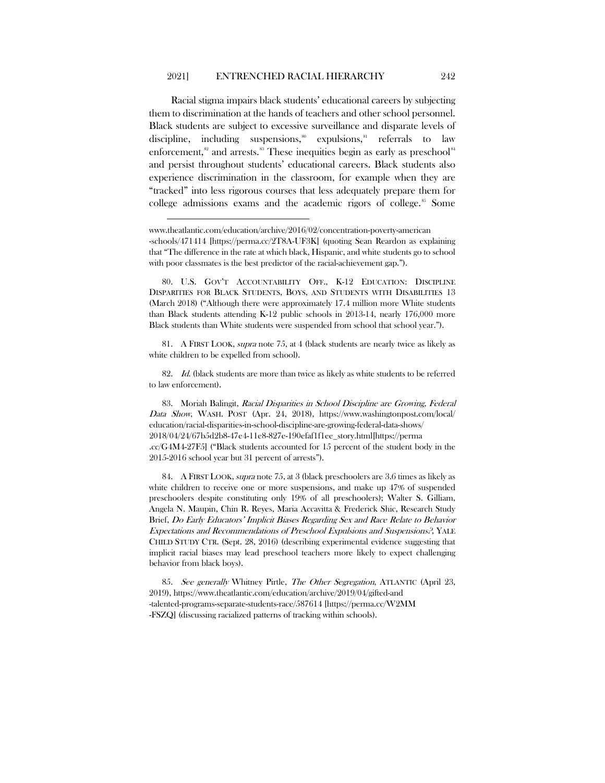Racial stigma impairs black students' educational careers by subjecting them to discrimination at the hands of teachers and other school personnel. Black students are subject to excessive surveillance and disparate levels of discipline, including suspensions, $\delta$ <sup>0</sup> expulsions, $\delta$ <sup>1</sup> referrals to law enforcement, $s<sup>2</sup>$  and arrests. $s<sup>33</sup>$  These inequities begin as early as preschool $s<sup>44</sup>$ and persist throughout students' educational careers. Black students also experience discrimination in the classroom, for example when they are "tracked" into less rigorous courses that less adequately prepare them for college admissions exams and the academic rigors of college.<sup>[85](#page-19-5)</sup> Some

<span id="page-19-1"></span>81. A FIRST LOOK, supra note [75,](#page-18-8) at 4 (black students are nearly twice as likely as white children to be expelled from school).

<span id="page-19-2"></span>82. Id. (black students are more than twice as likely as white students to be referred to law enforcement).

<span id="page-19-3"></span>83. Moriah Balingit, Racial Disparities in School Discipline are Growing, Federal Data Show, WASH. POST (Apr. 24, 2018), https://www.washingtonpost.com/local/ education/racial-disparities-in-school-discipline-are-growing-federal-data-shows/ 2018/04/24/67b5d2b8-47e4-11e8-827e-190efaf1f1ee\_story.html[https://perma .cc/G4M4-27F5] ("Black students accounted for 15 percent of the student body in the 2015-2016 school year but 31 percent of arrests").

<span id="page-19-4"></span>84. A FIRST LOOK, supra note [75,](#page-18-8) at 3 (black preschoolers are 3.6 times as likely as white children to receive one or more suspensions, and make up 47% of suspended preschoolers despite constituting only 19% of all preschoolers); Walter S. Gilliam, Angela N. Maupin, Chin R. Reyes, Maria Accavitta & Frederick Shic, Research Study Brief, Do Early Educators' Implicit Biases Regarding Sex and Race Relate to Behavior Expectations and Recommendations of Preschool Expulsions and Suspensions?, YALE CHILD STUDY CTR. (Sept. 28, 2016) (describing experimental evidence suggesting that implicit racial biases may lead preschool teachers more likely to expect challenging behavior from black boys).

<span id="page-19-5"></span>85. See generally Whitney Pirtle, The Other Segregation, ATLANTIC (April 23, 2019), https://www.theatlantic.com/education/archive/2019/04/gifted-and -talented-programs-separate-students-race/587614 [https://perma.cc/W2MM -FSZQ] (discussing racialized patterns of tracking within schools).

www.theatlantic.com/education/archive/2016/02/concentration-poverty-american -schools/471414 [https://perma.cc/2T8A-UF3K] (quoting Sean Reardon as explaining that "The difference in the rate at which black, Hispanic, and white students go to school with poor classmates is the best predictor of the racial-achievement gap.").

<span id="page-19-0"></span><sup>80.</sup> U.S. GOV'T ACCOUNTABILITY OFF., K-12 EDUCATION: DISCIPLINE DISPARITIES FOR BLACK STUDENTS, BOYS, AND STUDENTS WITH DISABILITIES 13 (March 2018) ("Although there were approximately 17.4 million more White students than Black students attending K-12 public schools in 2013-14, nearly 176,000 more Black students than White students were suspended from school that school year.").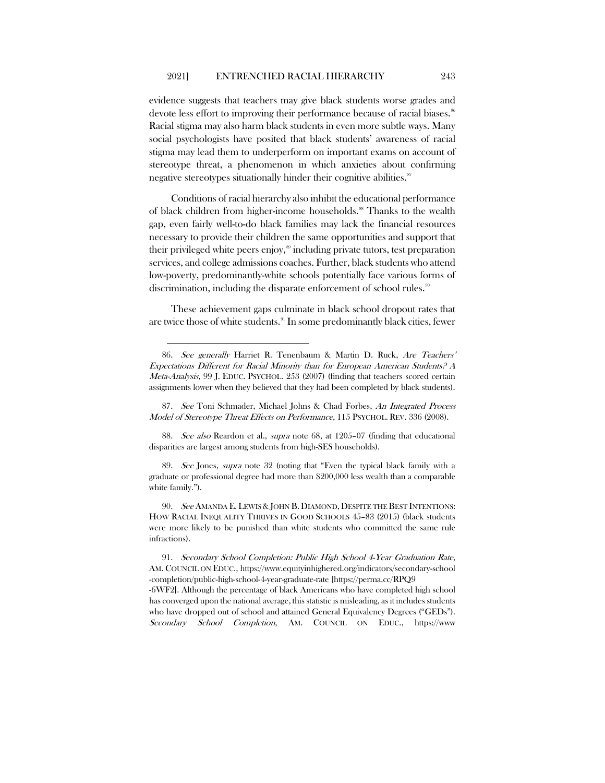evidence suggests that teachers may give black students worse grades and devote less effort to improving their performance because of racial biases.<sup>[86](#page-20-0)</sup> Racial stigma may also harm black students in even more subtle ways. Many social psychologists have posited that black students' awareness of racial stigma may lead them to underperform on important exams on account of stereotype threat, a phenomenon in which anxieties about confirming negative stereotypes situationally hinder their cognitive abilities.<sup>[87](#page-20-1)</sup>

Conditions of racial hierarchy also inhibit the educational performance of black children from higher-income households.<sup>[88](#page-20-2)</sup> Thanks to the wealth gap, even fairly well-to-do black families may lack the financial resources necessary to provide their children the same opportunities and support that their privileged white peers enjoy,<sup>[89](#page-20-3)</sup> including private tutors, test preparation services, and college admissions coaches. Further, black students who attend low-poverty, predominantly-white schools potentially face various forms of discrimination, including the disparate enforcement of school rules.<sup>[90](#page-20-4)</sup>

These achievement gaps culminate in black school dropout rates that are twice those of white students.<sup>[91](#page-20-5)</sup> In some predominantly black cities, fewer

<span id="page-20-0"></span><sup>86.</sup> See generally Harriet R. Tenenbaum & Martin D. Ruck, Are Teachers' Expectations Different for Racial Minority than for European American Students? A Meta-Analysis, 99 J. EDUC. PSYCHOL. 253 (2007) (finding that teachers scored certain assignments lower when they believed that they had been completed by black students).

<span id="page-20-1"></span><sup>87.</sup> See Toni Schmader, Michael Johns & Chad Forbes, An Integrated Process Model of Stereotype Threat Effects on Performance, 115 PSYCHOL. REV. 336 (2008).

<span id="page-20-2"></span><sup>88.</sup> See also Reardon et al., supra note [68,](#page-16-5) at 1205–07 (finding that educational disparities are largest among students from high-SES households).

<span id="page-20-3"></span><sup>89.</sup> See Jones, supra note [32](#page-10-5) (noting that "Even the typical black family with a graduate or professional degree had more than \$200,000 less wealth than a comparable white family.").

<span id="page-20-4"></span><sup>90.</sup> See AMANDA E. LEWIS & JOHN B. DIAMOND, DESPITE THE BEST INTENTIONS: HOW RACIAL INEQUALITY THRIVES IN GOOD SCHOOLS 45–83 (2015) (black students were more likely to be punished than white students who committed the same rule infractions).

<span id="page-20-5"></span><sup>91.</sup> Secondary School Completion: Public High School 4-Year Graduation Rate, AM. COUNCIL ON EDUC., https://www.equityinhighered.org/indicators/secondary-school -completion/public-high-school-4-year-graduate-rate [https://perma.cc/RPQ9

<sup>-6</sup>WF2]. Although the percentage of black Americans who have completed high school has converged upon the national average, this statistic is misleading, as it includes students who have dropped out of school and attained General Equivalency Degrees ("GEDs"). Secondary School Completion, AM. COUNCIL ON EDUC., https://www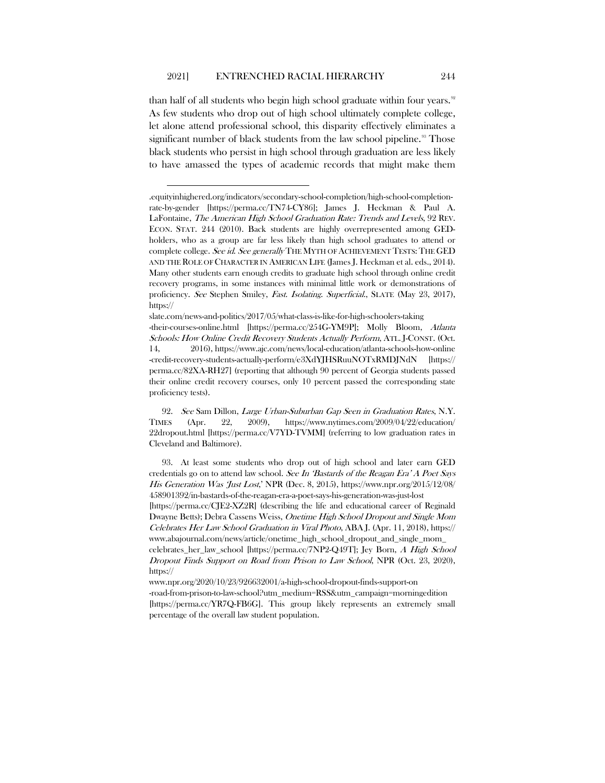than half of all students who begin high school graduate within four years.<sup>[92](#page-21-0)</sup> As few students who drop out of high school ultimately complete college, let alone attend professional school, this disparity effectively eliminates a significant number of black students from the law school pipeline.<sup>98</sup> Those black students who persist in high school through graduation are less likely to have amassed the types of academic records that might make them

slate.com/news-and-politics/2017/05/what-class-is-like-for-high-schoolers-taking -their-courses-online.html [https://perma.cc/254G-YM9P]; Molly Bloom, Atlanta Schools: How Online Credit Recovery Students Actually Perform, ATL. J-CONST. (Oct. 14, 2016), https://www.ajc.com/news/local-education/atlanta-schools-how-online -credit-recovery-students-actually-perform/e3XdYJHSRuuNOTxRMDJNdN [https:// perma.cc/82XA-RH27] (reporting that although 90 percent of Georgia students passed their online credit recovery courses, only 10 percent passed the corresponding state proficiency tests).

<span id="page-21-0"></span>92. See Sam Dillon, Large Urban-Suburban Gap Seen in Graduation Rates, N.Y. TIMES (Apr. 22, 2009), https://www.nytimes.com/2009/04/22/education/ 22dropout.html [https://perma.cc/V7YD-TVMM] (referring to low graduation rates in Cleveland and Baltimore).

<span id="page-21-1"></span>93. At least some students who drop out of high school and later earn GED credentials go on to attend law school. See In 'Bastards of the Reagan Era' A Poet Says His Generation Was 'Just Lost,' NPR (Dec. 8, 2015), https://www.npr.org/2015/12/08/ 458901392/in-bastards-of-the-reagan-era-a-poet-says-his-generation-was-just-lost [https://perma.cc/CJE2-XZ2R] (describing the life and educational career of Reginald Dwayne Betts); Debra Cassens Weiss, Onetime High School Dropout and Single Mom Celebrates Her Law School Graduation in Viral Photo, ABA J. (Apr. 11, 2018), https:// www.abajournal.com/news/article/onetime\_high\_school\_dropout\_and\_single\_mom\_ celebrates\_her\_law\_school [https://perma.cc/7NP2-Q49T]; Jey Born, A High School Dropout Finds Support on Road from Prison to Law School, NPR (Oct. 23, 2020), https://

www.npr.org/2020/10/23/926632001/a-high-school-dropout-finds-support-on -road-from-prison-to-law-school?utm\_medium=RSS&utm\_campaign=morningedition [https://perma.cc/YR7Q-FB6G]. This group likely represents an extremely small percentage of the overall law student population.

<sup>.</sup>equityinhighered.org/indicators/secondary-school-completion/high-school-completionrate-by-gender [https://perma.cc/TN74-CY86]; James J. Heckman & Paul A. LaFontaine, The American High School Graduation Rate: Trends and Levels, 92 REV. ECON. STAT. 244 (2010). Back students are highly overrepresented among GEDholders, who as a group are far less likely than high school graduates to attend or complete college. See id. See generally THE MYTH OF ACHIEVEMENT TESTS: THE GED AND THE ROLE OF CHARACTER IN AMERICAN LIFE (James J. Heckman et al. eds., 2014). Many other students earn enough credits to graduate high school through online credit recovery programs, in some instances with minimal little work or demonstrations of proficiency. See Stephen Smiley, Fast. Isolating. Superficial., SLATE (May 23, 2017), https://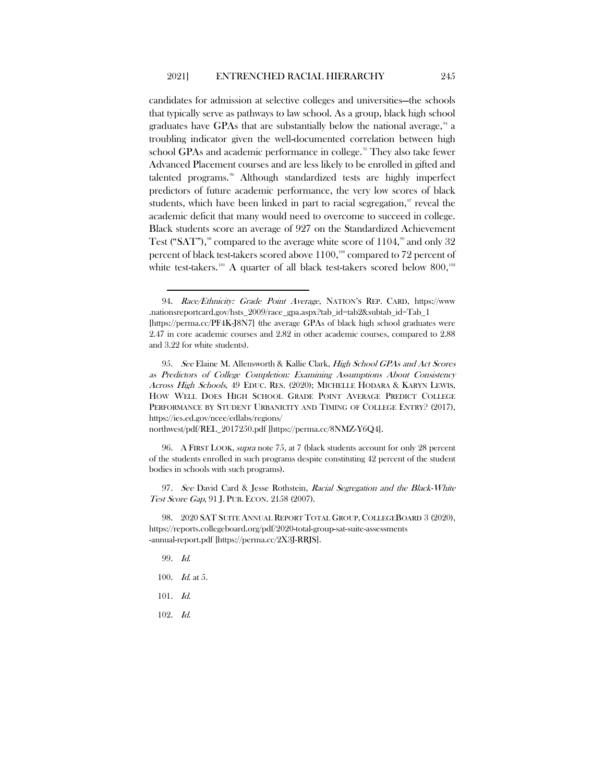<span id="page-22-9"></span>candidates for admission at selective colleges and universities—the schools that typically serve as pathways to law school. As a group, black high school graduates have GPAs that are substantially below the national average, $\mathrm{^{\mathfrak{g}}\!}$  a troubling indicator given the well-documented correlation between high school GPAs and academic performance in college.<sup>[95](#page-22-1)</sup> They also take fewer Advanced Placement courses and are less likely to be enrolled in gifted and talented programs.<sup>[96](#page-22-2)</sup> Although standardized tests are highly imperfect predictors of future academic performance, the very low scores of black students, which have been linked in part to racial segregation, $\alpha$  reveal the academic deficit that many would need to overcome to succeed in college. Black students score an average of 927 on the Standardized Achievement Test ("SAT"),<sup>[98](#page-22-4)</sup> compared to the average white score of  $1104$ ,<sup>[99](#page-22-5)</sup> and only 32 percent of black test-takers scored above  $1100$  $1100$ ,<sup>100</sup> compared to 72 percent of white test-takers.<sup>[101](#page-22-7)</sup> A quarter of all black test-takers scored below 800,<sup>[102](#page-22-8)</sup>

northwest/pdf/REL\_2017250.pdf [https://perma.cc/8NMZ-Y6Q4].

<span id="page-22-2"></span>96. A FIRST LOOK, supra note [75,](#page-18-8) at 7 (black students account for only 28 percent of the students enrolled in such programs despite constituting 42 percent of the student bodies in schools with such programs).

<span id="page-22-3"></span>97. See David Card & Jesse Rothstein, Racial Segregation and the Black-White Test Score Gap, 91 J. PUB. ECON. 2158 (2007).

<span id="page-22-5"></span><span id="page-22-4"></span>98. 2020 SAT SUITE ANNUAL REPORT TOTAL GROUP, COLLEGEBOARD 3 (2020), https://reports.collegeboard.org/pdf/2020-total-group-sat-suite-assessments -annual-report.pdf [https://perma.cc/2X3J-RRJS].

- 99. Id.
- <span id="page-22-6"></span>100. Id. at 5.
- <span id="page-22-7"></span>101. Id.
- <span id="page-22-8"></span>102. Id.

<span id="page-22-0"></span><sup>94.</sup> Race/Ethnicity: Grade Point Average, NATION'S REP. CARD, https://www .nationsreportcard.gov/hsts\_2009/race\_gpa.aspx?tab\_id=tab2&subtab\_id=Tab\_1 [https://perma.cc/PF4K-J8N7] (the average GPAs of black high school graduates were 2.47 in core academic courses and 2.82 in other academic courses, compared to 2.88 and 3.22 for white students).

<span id="page-22-1"></span><sup>95.</sup> See Elaine M. Allensworth & Kallie Clark, High School GPAs and Act Scores as Predictors of College Completion: Examining Assumptions About Consistency Across High Schools, 49 EDUC. RES. (2020); MICHELLE HODARA & KARYN LEWIS, HOW WELL DOES HIGH SCHOOL GRADE POINT AVERAGE PREDICT COLLEGE PERFORMANCE BY STUDENT URBANICITY AND TIMING OF COLLEGE ENTRY? (2017), https://ies.ed.gov/ncee/edlabs/regions/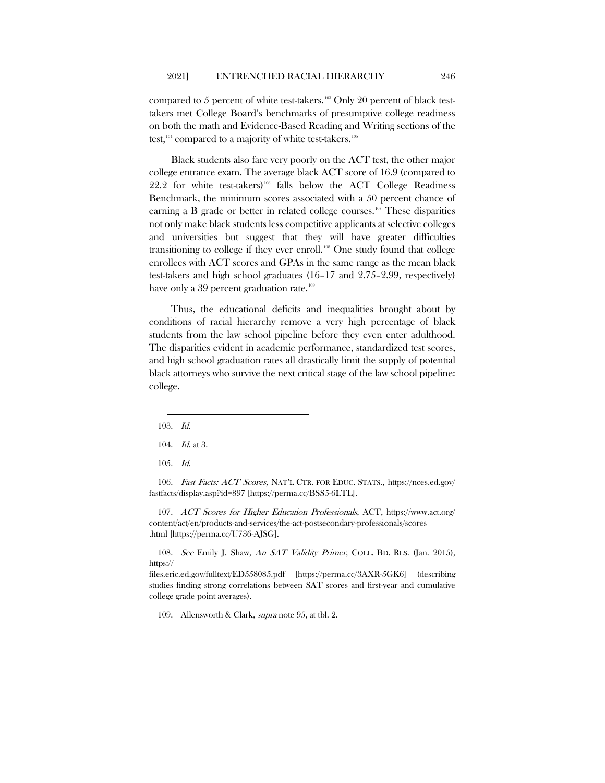compared to 5 percent of white test-takers.<sup>[103](#page-23-0)</sup> Only 20 percent of black testtakers met College Board's benchmarks of presumptive college readiness on both the math and Evidence-Based Reading and Writing sections of the test,  $104$  compared to a majority of white test-takers.  $105$ 

Black students also fare very poorly on the ACT test, the other major college entrance exam. The average black ACT score of 16.9 (compared to  $22.2$  for white test-takers)<sup>[106](#page-23-3)</sup> falls below the ACT College Readiness Benchmark, the minimum scores associated with a 50 percent chance of earning a B grade or better in related college courses.<sup>[107](#page-23-4)</sup> These disparities not only make black students less competitive applicants at selective colleges and universities but suggest that they will have greater difficulties transitioning to college if they ever enroll.<sup>[108](#page-23-5)</sup> One study found that college enrollees with ACT scores and GPAs in the same range as the mean black test-takers and high school graduates (16–17 and 2.75–2.99, respectively) have only a 39 percent graduation rate.<sup>[109](#page-23-6)</sup>

Thus, the educational deficits and inequalities brought about by conditions of racial hierarchy remove a very high percentage of black students from the law school pipeline before they even enter adulthood. The disparities evident in academic performance, standardized test scores, and high school graduation rates all drastically limit the supply of potential black attorneys who survive the next critical stage of the law school pipeline: college.

<span id="page-23-0"></span>103. Id.

105. Id.

<span id="page-23-3"></span><span id="page-23-2"></span><span id="page-23-1"></span>106. Fast Facts: ACT Scores, NAT'L CTR. FOR EDUC. STATS., https://nces.ed.gov/ fastfacts/display.asp?id=897 [https://perma.cc/BSS5-6LTL].

<span id="page-23-4"></span>107. ACT Scores for Higher Education Professionals, ACT, https://www.act.org/ content/act/en/products-and-services/the-act-postsecondary-professionals/scores .html [https://perma.cc/U736-AJSG].

<span id="page-23-5"></span>108. See Emily J. Shaw, An SAT Validity Primer, COLL. BD. RES. (Jan. 2015), https://

<span id="page-23-6"></span>files.eric.ed.gov/fulltext/ED558085.pdf [https://perma.cc/3AXR-5GK6] (describing studies finding strong correlations between SAT scores and first-year and cumulative college grade point averages).

109. Allensworth & Clark, supra note [95,](#page-22-9) at tbl. 2.

<sup>104.</sup> Id. at 3.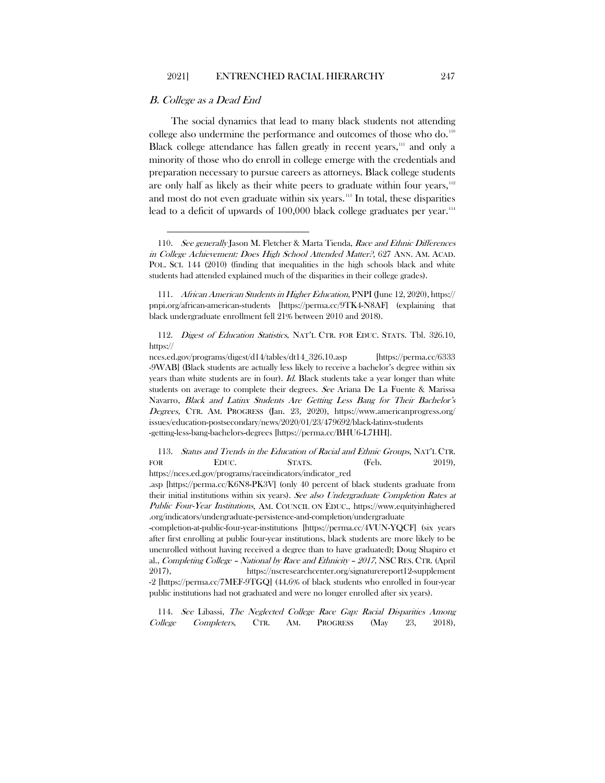## B. College as a Dead End

The social dynamics that lead to many black students not attending college also undermine the performance and outcomes of those who do.<sup>[110](#page-24-0)</sup> Black college attendance has fallen greatly in recent years, $111$  and only a minority of those who do enroll in college emerge with the credentials and preparation necessary to pursue careers as attorneys. Black college students are only half as likely as their white peers to graduate within four years,  $112$ and most do not even graduate within six years.<sup>[113](#page-24-3)</sup> In total, these disparities lead to a deficit of upwards of  $100,000$  black college graduates per year.<sup>[114](#page-24-4)</sup>

<span id="page-24-1"></span>111. African American Students in Higher Education, PNPI (June 12, 2020), https:// pnpi.org/african-american-students [https://perma.cc/9TK4-N8AF] (explaining that black undergraduate enrollment fell 21% between 2010 and 2018).

<span id="page-24-2"></span>112. Digest of Education Statistics, NAT'L CTR. FOR EDUC. STATS. Tbl. 326.10, https://

<span id="page-24-3"></span>113. Status and Trends in the Education of Racial and Ethnic Groups, NAT'L CTR. FOR EDUC. STATS. (Feb. 2019), https://nces.ed.gov/programs/raceindicators/indicator\_red

-completion-at-public-four-year-institutions [https://perma.cc/4VUN-YQCF] (six years after first enrolling at public four-year institutions, black students are more likely to be unenrolled without having received a degree than to have graduated); Doug Shapiro et al., Completing College – National by Race and Ethnicity – <sup>2017</sup>, NSC RES. CTR. (April 2017), https://nscresearchcenter.org/signaturereport12-supplement -2 [https://perma.cc/7MEF-9TGQ] (44.6% of black students who enrolled in four-year public institutions had not graduated and were no longer enrolled after six years).

<span id="page-24-4"></span>114. See Libassi, The Neglected College Race Gap: Racial Disparities Among College Completers, CTR. AM. PROGRESS (May 23, 2018),

<span id="page-24-0"></span><sup>110.</sup> See generally Jason M. Fletcher & Marta Tienda, Race and Ethnic Differences in College Achievement: Does High School Attended Matter?, 627 ANN. AM. ACAD. POL. SCI. 144 (2010) (finding that inequalities in the high schools black and white students had attended explained much of the disparities in their college grades).

nces.ed.gov/programs/digest/d14/tables/dt14\_326.10.asp [https://perma.cc/6333 -9WAB] (Black students are actually less likely to receive a bachelor's degree within six years than white students are in four). Id. Black students take a year longer than white students on average to complete their degrees. See Ariana De La Fuente & Marissa Navarro, Black and Latinx Students Are Getting Less Bang for Their Bachelor's Degrees, CTR. AM. PROGRESS (Jan. 23, 2020), https://www.americanprogress.org/ issues/education-postsecondary/news/2020/01/23/479692/black-latinx-students -getting-less-bang-bachelors-degrees [https://perma.cc/BHU6-L7HH].

<sup>.</sup>asp [https://perma.cc/K6N8-PK3V] (only 40 percent of black students graduate from their initial institutions within six years). See also Undergraduate Completion Rates at Public Four-Year Institutions, AM. COUNCIL ON EDUC., https://www.equityinhighered .org/indicators/undergraduate-persistence-and-completion/undergraduate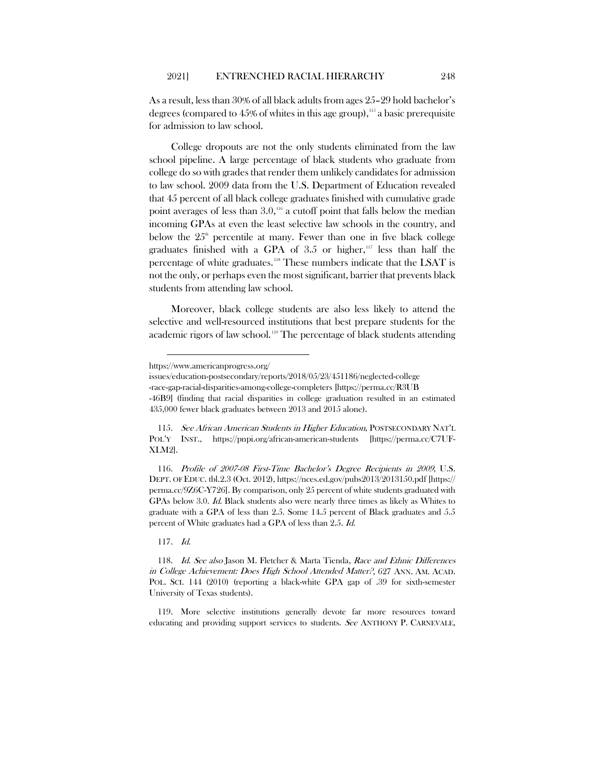As a result, less than 30% of all black adults from ages 25–29 hold bachelor's degrees (compared to  $45\%$  of whites in this age group),  $115$  a basic prerequisite for admission to law school.

College dropouts are not the only students eliminated from the law school pipeline. A large percentage of black students who graduate from college do so with grades that render them unlikely candidates for admission to law school. 2009 data from the U.S. Department of Education revealed that 45 percent of all black college graduates finished with cumulative grade point averages of less than  $3.0$ ,<sup>[116](#page-25-1)</sup> a cutoff point that falls below the median incoming GPAs at even the least selective law schools in the country, and below the  $25<sup>th</sup>$  percentile at many. Fewer than one in five black college graduates finished with a GPA of  $3.5$  or higher,<sup>[117](#page-25-2)</sup> less than half the percentage of white graduates.<sup>[118](#page-25-3)</sup> These numbers indicate that the LSAT is not the only, or perhaps even the most significant, barrier that prevents black students from attending law school.

Moreover, black college students are also less likely to attend the selective and well-resourced institutions that best prepare students for the academic rigors of law school.<sup>[119](#page-25-4)</sup> The percentage of black students attending

<span id="page-25-1"></span>116. Profile of 2007-08 First-Time Bachelor's Degree Recipients in 2009, U.S. DEPT. OF EDUC. tbl.2.3 (Oct. 2012), https://nces.ed.gov/pubs2013/2013150.pdf [https:// perma.cc/9Z6C-Y726]. By comparison, only 25 percent of white students graduated with GPAs below 3.0. Id. Black students also were nearly three times as likely as Whites to graduate with a GPA of less than 2.5. Some 14.5 percent of Black graduates and 5.5 percent of White graduates had a GPA of less than 2.5. Id.

117. Id.

https://www.americanprogress.org/

issues/education-postsecondary/reports/2018/05/23/451186/neglected-college

<sup>-</sup>race-gap-racial-disparities-among-college-completers [https://perma.cc/R3UB

<sup>-46</sup>B9] (finding that racial disparities in college graduation resulted in an estimated 435,000 fewer black graduates between 2013 and 2015 alone).

<span id="page-25-0"></span><sup>115.</sup> See African American Students in Higher Education, POSTSECONDARY NAT'L POL'Y INST., https://pnpi.org/african-american-students [https://perma.cc/C7UF-XLM2].

<span id="page-25-3"></span><span id="page-25-2"></span><sup>118.</sup> Id. See also Jason M. Fletcher & Marta Tienda, Race and Ethnic Differences in College Achievement: Does High School Attended Matter?, 627 ANN. AM. ACAD. POL. SCI. 144 (2010) (reporting a black-white GPA gap of .39 for sixth-semester University of Texas students).

<span id="page-25-4"></span><sup>119.</sup> More selective institutions generally devote far more resources toward educating and providing support services to students. See ANTHONY P. CARNEVALE,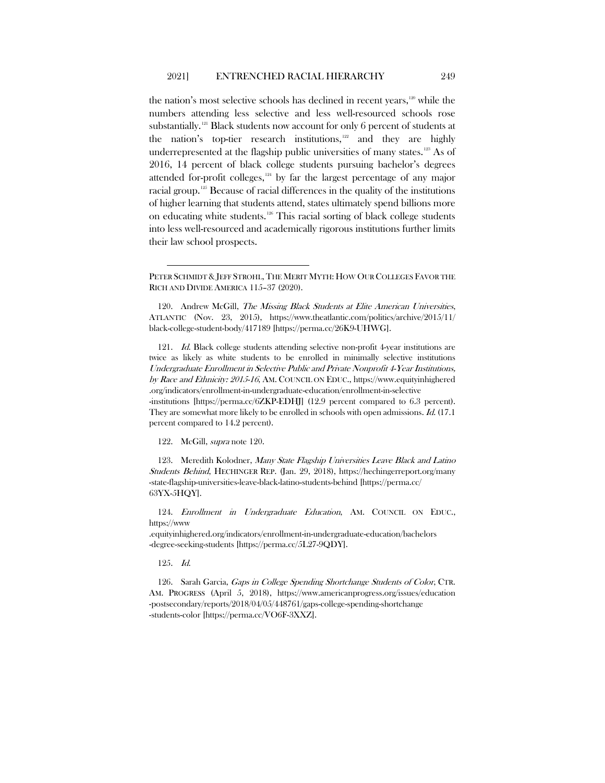<span id="page-26-0"></span>the nation's most selective schools has declined in recent years,<sup>[120](#page-26-1)</sup> while the numbers attending less selective and less well-resourced schools rose substantially.<sup>[121](#page-26-2)</sup> Black students now account for only 6 percent of students at the nation's top-tier research institutions,<sup>[122](#page-26-3)</sup> and they are highly underrepresented at the flagship public universities of many states.<sup>[123](#page-26-4)</sup> As of 2016, 14 percent of black college students pursuing bachelor's degrees attended for-profit colleges, [124](#page-26-5) by far the largest percentage of any major racial group.<sup>[125](#page-26-6)</sup> Because of racial differences in the quality of the institutions of higher learning that students attend, states ultimately spend billions more on educating white students.[126](#page-26-7) This racial sorting of black college students into less well-resourced and academically rigorous institutions further limits their law school prospects.

<span id="page-26-2"></span>121. Id. Black college students attending selective non-profit 4-year institutions are twice as likely as white students to be enrolled in minimally selective institutions Undergraduate Enrollment in Selective Public and Private Nonprofit 4-Year Institutions, by Race and Ethnicity: 2015-16, AM. COUNCIL ON EDUC., https://www.equityinhighered .org/indicators/enrollment-in-undergraduate-education/enrollment-in-selective -institutions [https://perma.cc/6ZKP-EDHJ] (12.9 percent compared to 6.3 percent). They are somewhat more likely to be enrolled in schools with open admissions. Id. (17.1) percent compared to 14.2 percent).

122. McGill, supra note [120.](#page-26-0)

<span id="page-26-4"></span><span id="page-26-3"></span>123. Meredith Kolodner, Many State Flagship Universities Leave Black and Latino Students Behind, HECHINGER REP. (Jan. 29, 2018), https://hechingerreport.org/many -state-flagship-universities-leave-black-latino-students-behind [https://perma.cc/ 63YX-5HQY].

<span id="page-26-5"></span>124. Enrollment in Undergraduate Education, AM. COUNCIL ON EDUC., https://www

.equityinhighered.org/indicators/enrollment-in-undergraduate-education/bachelors -degree-seeking-students [https://perma.cc/5L27-9QDY].

125. Id.

<span id="page-26-7"></span><span id="page-26-6"></span>126. Sarah Garcia, Gaps in College Spending Shortchange Students of Color, CTR. AM. PROGRESS (April 5, 2018), https://www.americanprogress.org/issues/education -postsecondary/reports/2018/04/05/448761/gaps-college-spending-shortchange -students-color [https://perma.cc/VO6F-3XXZ].

PETER SCHMIDT & JEFF STROHL, THE MERIT MYTH: HOW OUR COLLEGES FAVOR THE RICH AND DIVIDE AMERICA 115–37 (2020).

<span id="page-26-1"></span><sup>120.</sup> Andrew McGill, The Missing Black Students at Elite American Universities, ATLANTIC (Nov. 23, 2015), https://www.theatlantic.com/politics/archive/2015/11/ black-college-student-body/417189 [https://perma.cc/26K9-UHWG].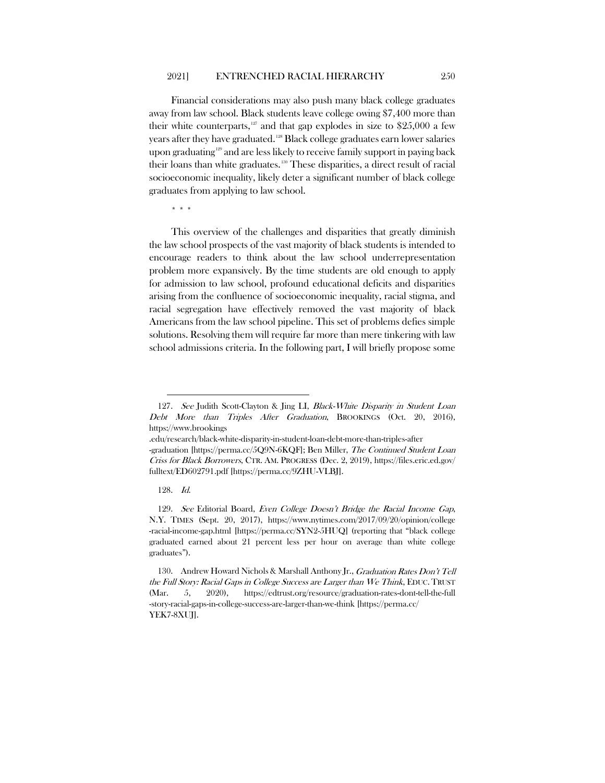Financial considerations may also push many black college graduates away from law school. Black students leave college owing \$7,400 more than their white counterparts, $127$  and that gap explodes in size to \$25,000 a few years after they have graduated.<sup>[128](#page-27-1)</sup> Black college graduates earn lower salaries upon graduating<sup>[129](#page-27-2)</sup> and are less likely to receive family support in paying back their loans than white graduates.[130](#page-27-3) These disparities, a direct result of racial socioeconomic inequality, likely deter a significant number of black college graduates from applying to law school.

\* \* \*

This overview of the challenges and disparities that greatly diminish the law school prospects of the vast majority of black students is intended to encourage readers to think about the law school underrepresentation problem more expansively. By the time students are old enough to apply for admission to law school, profound educational deficits and disparities arising from the confluence of socioeconomic inequality, racial stigma, and racial segregation have effectively removed the vast majority of black Americans from the law school pipeline. This set of problems defies simple solutions. Resolving them will require far more than mere tinkering with law school admissions criteria. In the following part, I will briefly propose some

<span id="page-27-0"></span><sup>127.</sup> See Judith Scott-Clayton & Jing LI, Black-White Disparity in Student Loan Debt More than Triples After Graduation, BROOKINGS (Oct. 20, 2016), https://www.brookings

<sup>.</sup>edu/research/black-white-disparity-in-student-loan-debt-more-than-triples-after -graduation [https://perma.cc/5Q9N-6KQF]; Ben Miller, The Continued Student Loan Criss for Black Borrowers, CTR. AM. PROGRESS (Dec. 2, 2019), https://files.eric.ed.gov/ fulltext/ED602791.pdf [https://perma.cc/9ZHU-VLBJ].

<sup>128.</sup> Id.

<span id="page-27-2"></span><span id="page-27-1"></span><sup>129.</sup> See Editorial Board, Even College Doesn't Bridge the Racial Income Gap, N.Y. TIMES (Sept. 20, 2017), https://www.nytimes.com/2017/09/20/opinion/college -racial-income-gap.html [https://perma.cc/SYN2-5HUQ] (reporting that "black college graduated earned about 21 percent less per hour on average than white college graduates").

<span id="page-27-3"></span><sup>130.</sup> Andrew Howard Nichols & Marshall Anthony Jr., Graduation Rates Don't Tell the Full Story: Racial Gaps in College Success are Larger than We Think, EDUC. TRUST (Mar. 5, 2020), https://edtrust.org/resource/graduation-rates-dont-tell-the-full -story-racial-gaps-in-college-success-are-larger-than-we-think [https://perma.cc/ YEK7-8XUJ].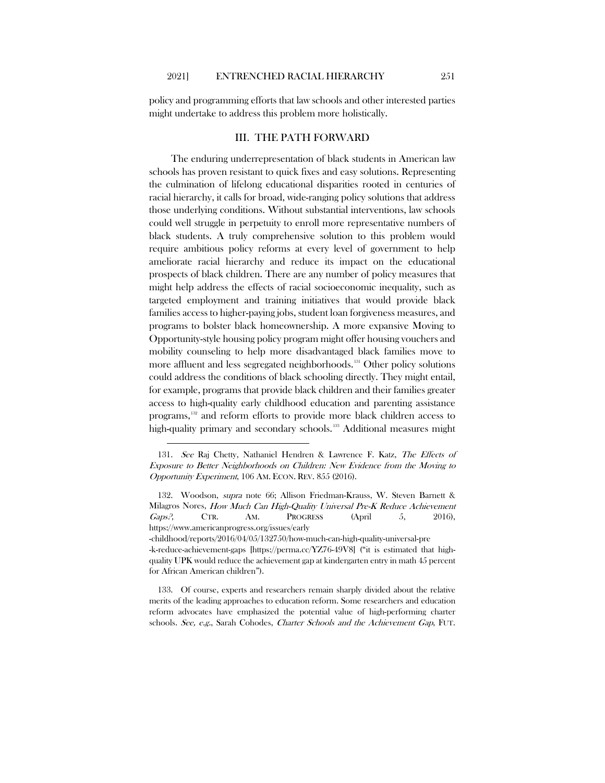policy and programming efforts that law schools and other interested parties might undertake to address this problem more holistically.

# III. THE PATH FORWARD

The enduring underrepresentation of black students in American law schools has proven resistant to quick fixes and easy solutions. Representing the culmination of lifelong educational disparities rooted in centuries of racial hierarchy, it calls for broad, wide-ranging policy solutions that address those underlying conditions. Without substantial interventions, law schools could well struggle in perpetuity to enroll more representative numbers of black students. A truly comprehensive solution to this problem would require ambitious policy reforms at every level of government to help ameliorate racial hierarchy and reduce its impact on the educational prospects of black children. There are any number of policy measures that might help address the effects of racial socioeconomic inequality, such as targeted employment and training initiatives that would provide black families access to higher-paying jobs, student loan forgiveness measures, and programs to bolster black homeownership. A more expansive Moving to Opportunity-style housing policy program might offer housing vouchers and mobility counseling to help more disadvantaged black families move to more affluent and less segregated neighborhoods.<sup>[131](#page-28-0)</sup> Other policy solutions could address the conditions of black schooling directly. They might entail, for example, programs that provide black children and their families greater access to high-quality early childhood education and parenting assistance programs,[132](#page-28-1) and reform efforts to provide more black children access to high-quality primary and secondary schools.<sup>[133](#page-28-2)</sup> Additional measures might

<span id="page-28-0"></span><sup>131.</sup> See Raj Chetty, Nathaniel Hendren & Lawrence F. Katz, The Effects of Exposure to Better Neighborhoods on Children: New Evidence from the Moving to Opportunity Experiment, 106 AM. ECON. REV. 855 (2016).

<span id="page-28-1"></span><sup>132.</sup> Woodson, *supra* note [66;](#page-16-6) Allison Friedman-Krauss, W. Steven Barnett & Milagros Nores, How Much Can High-Quality Universal Pre-K Reduce Achievement Gaps?, CTR. AM. PROGRESS (April 5, 2016), https://www.americanprogress.org/issues/early

<sup>-</sup>childhood/reports/2016/04/05/132750/how-much-can-high-quality-universal-pre -k-reduce-achievement-gaps [https://perma.cc/YZ76-49V8] ("it is estimated that highquality UPK would reduce the achievement gap at kindergarten entry in math 45 percent for African American children").

<span id="page-28-2"></span><sup>133.</sup> Of course, experts and researchers remain sharply divided about the relative merits of the leading approaches to education reform. Some researchers and education reform advocates have emphasized the potential value of high-performing charter schools. See, e.g., Sarah Cohodes, Charter Schools and the Achievement Gap, FUT.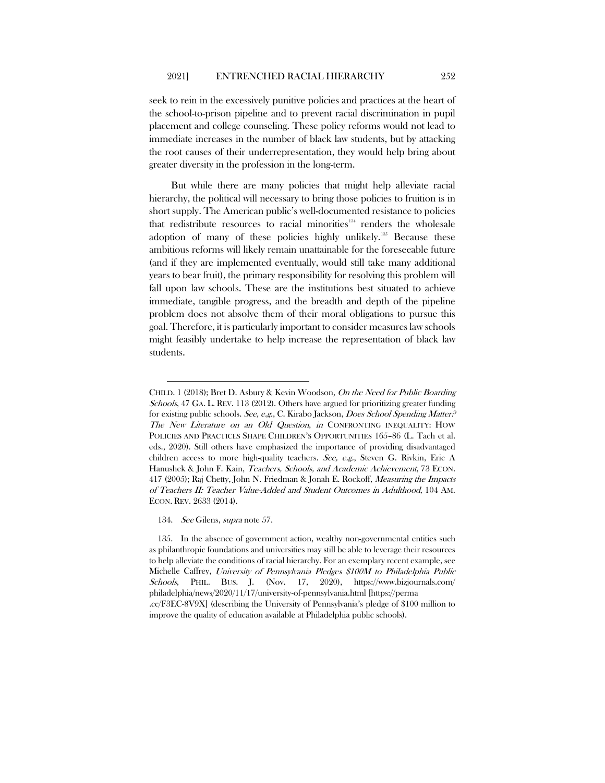seek to rein in the excessively punitive policies and practices at the heart of the school-to-prison pipeline and to prevent racial discrimination in pupil placement and college counseling. These policy reforms would not lead to immediate increases in the number of black law students, but by attacking the root causes of their underrepresentation, they would help bring about greater diversity in the profession in the long-term.

But while there are many policies that might help alleviate racial hierarchy, the political will necessary to bring those policies to fruition is in short supply. The American public's well-documented resistance to policies that redistribute resources to racial minorities<sup>[134](#page-29-0)</sup> renders the wholesale adoption of many of these policies highly unlikely.<sup>[135](#page-29-1)</sup> Because these ambitious reforms will likely remain unattainable for the foreseeable future (and if they are implemented eventually, would still take many additional years to bear fruit), the primary responsibility for resolving this problem will fall upon law schools. These are the institutions best situated to achieve immediate, tangible progress, and the breadth and depth of the pipeline problem does not absolve them of their moral obligations to pursue this goal. Therefore, it is particularly important to consider measures law schools might feasibly undertake to help increase the representation of black law students.

CHILD. 1 (2018); Bret D. Asbury & Kevin Woodson, On the Need for Public Boarding Schools, 47 GA. L. REV. 113 (2012). Others have argued for prioritizing greater funding for existing public schools. See, e.g., C. Kirabo Jackson, *Does School Spending Matter?* The New Literature on an Old Question, in CONFRONTING INEQUALITY: HOW POLICIES AND PRACTICES SHAPE CHILDREN'S OPPORTUNITIES 165–86 (L. Tach et al. eds., 2020). Still others have emphasized the importance of providing disadvantaged children access to more high-quality teachers. See, e.g., Steven G. Rivkin, Eric A Hanushek & John F. Kain, Teachers, Schools, and Academic Achievement, 73 ECON. 417 (2005); Raj Chetty, John N. Friedman & Jonah E. Rockoff, Measuring the Impacts of Teachers II: Teacher Value-Added and Student Outcomes in Adulthood, 104 AM. ECON. REV. 2633 (2014).

<sup>134.</sup> See Gilens, supra note [57.](#page-14-3)

<span id="page-29-1"></span><span id="page-29-0"></span><sup>135.</sup> In the absence of government action, wealthy non-governmental entities such as philanthropic foundations and universities may still be able to leverage their resources to help alleviate the conditions of racial hierarchy. For an exemplary recent example, see Michelle Caffrey, University of Pennsylvania Pledges \$100M to Philadelphia Public Schools, PHIL. BUS. J. (Nov. 17, 2020), https://www.bizjournals.com/ philadelphia/news/2020/11/17/university-of-pennsylvania.html [https://perma .cc/F3EC-8V9X] (describing the University of Pennsylvania's pledge of \$100 million to improve the quality of education available at Philadelphia public schools).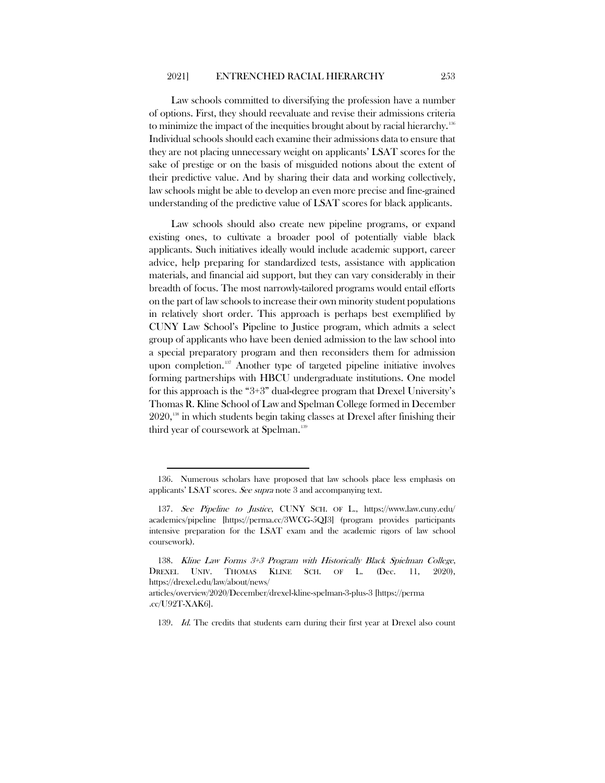Law schools committed to diversifying the profession have a number of options. First, they should reevaluate and revise their admissions criteria to minimize the impact of the inequities brought about by racial hierarchy.<sup>[136](#page-30-0)</sup> Individual schools should each examine their admissions data to ensure that they are not placing unnecessary weight on applicants' LSAT scores for the sake of prestige or on the basis of misguided notions about the extent of their predictive value. And by sharing their data and working collectively, law schools might be able to develop an even more precise and fine-grained understanding of the predictive value of LSAT scores for black applicants.

Law schools should also create new pipeline programs, or expand existing ones, to cultivate a broader pool of potentially viable black applicants. Such initiatives ideally would include academic support, career advice, help preparing for standardized tests, assistance with application materials, and financial aid support, but they can vary considerably in their breadth of focus. The most narrowly-tailored programs would entail efforts on the part of law schools to increase their own minority student populations in relatively short order. This approach is perhaps best exemplified by CUNY Law School's Pipeline to Justice program, which admits a select group of applicants who have been denied admission to the law school into a special preparatory program and then reconsiders them for admission upon completion.<sup>[137](#page-30-1)</sup> Another type of targeted pipeline initiative involves forming partnerships with HBCU undergraduate institutions. One model for this approach is the "3+3" dual-degree program that Drexel University's Thomas R. Kline School of Law and Spelman College formed in December  $2020$ ,<sup>[138](#page-30-2)</sup> in which students begin taking classes at Drexel after finishing their third year of coursework at Spelman.<sup>[139](#page-30-3)</sup>

<span id="page-30-0"></span><sup>136.</sup> Numerous scholars have proposed that law schools place less emphasis on applicants' LSAT scores. See supra not[e 3](#page-2-2) and accompanying text.

<span id="page-30-1"></span><sup>137.</sup> See Pipeline to Justice, CUNY SCH. OF L., https://www.law.cuny.edu/ academics/pipeline [https://perma.cc/3WCG-5QJ3] (program provides participants intensive preparation for the LSAT exam and the academic rigors of law school coursework).

<span id="page-30-2"></span><sup>138.</sup> Kline Law Forms 3+3 Program with Historically Black Spielman College, DREXEL UNIV. THOMAS KLINE SCH. OF L. (Dec. 11, 2020), https://drexel.edu/law/about/news/

<span id="page-30-3"></span>articles/overview/2020/December/drexel-kline-spelman-3-plus-3 [https://perma .cc/U92T-XAK6].

<sup>139.</sup> Id. The credits that students earn during their first year at Drexel also count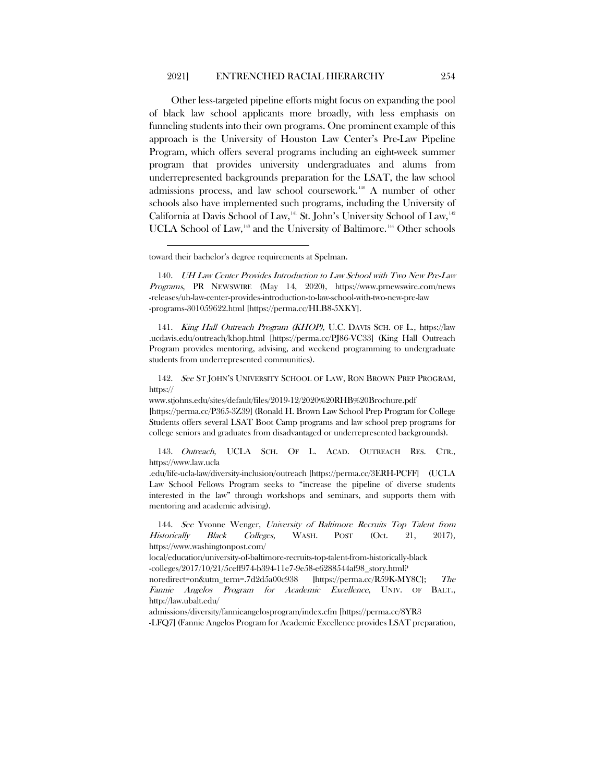Other less-targeted pipeline efforts might focus on expanding the pool of black law school applicants more broadly, with less emphasis on funneling students into their own programs. One prominent example of this approach is the University of Houston Law Center's Pre-Law Pipeline Program, which offers several programs including an eight-week summer program that provides university undergraduates and alums from underrepresented backgrounds preparation for the LSAT, the law school admissions process, and law school coursework.<sup>[140](#page-31-0)</sup> A number of other schools also have implemented such programs, including the University of California at Davis School of Law,<sup>[141](#page-31-1)</sup> St. John's University School of Law,<sup>[142](#page-31-2)</sup> UCLA School of Law,<sup>[143](#page-31-3)</sup> and the University of Baltimore.<sup>[144](#page-31-4)</sup> Other schools

<span id="page-31-1"></span>141. King Hall Outreach Program (KHOP), U.C. DAVIS SCH. OF L., https://law .ucdavis.edu/outreach/khop.html [https://perma.cc/PJ86-VC33] (King Hall Outreach Program provides mentoring, advising, and weekend programming to undergraduate students from underrepresented communities).

<span id="page-31-2"></span>142. See ST JOHN'S UNIVERSITY SCHOOL OF LAW, RON BROWN PREP PROGRAM, https://

www.stjohns.edu/sites/default/files/2019-12/2020%20RHB%20Brochure.pdf [https://perma.cc/P365-3Z39] (Ronald H. Brown Law School Prep Program for College Students offers several LSAT Boot Camp programs and law school prep programs for college seniors and graduates from disadvantaged or underrepresented backgrounds).

<span id="page-31-3"></span>143. Outreach, UCLA SCH. OF L. ACAD. OUTREACH RES. CTR., https://www.law.ucla

.edu/life-ucla-law/diversity-inclusion/outreach [https://perma.cc/3ERH-PCFF] (UCLA Law School Fellows Program seeks to "increase the pipeline of diverse students interested in the law" through workshops and seminars, and supports them with mentoring and academic advising).

<span id="page-31-4"></span>144. See Yvonne Wenger, University of Baltimore Recruits Top Talent from Historically Black Colleges, WASH. POST (Oct. 21, 2017), https://www.washingtonpost.com/

local/education/university-of-baltimore-recruits-top-talent-from-historically-black -colleges/2017/10/21/5ceff974-b394-11e7-9e58-e6288544af98\_story.html?

noredirect=on&utm\_term=.7d2d5a00c938 [https://perma.cc/R59K-MY8C]; The Fannie Angelos Program for Academic Excellence, UNIV. OF BALT., http://law.ubalt.edu/

admissions/diversity/fannieangelosprogram/index.cfm [https://perma.cc/8YR3

-LFQ7] (Fannie Angelos Program for Academic Excellence provides LSAT preparation,

toward their bachelor's degree requirements at Spelman.

<span id="page-31-0"></span><sup>140.</sup> UH Law Center Provides Introduction to Law School with Two New Pre-Law Programs, PR NEWSWIRE (May 14, 2020), https://www.prnewswire.com/news -releases/uh-law-center-provides-introduction-to-law-school-with-two-new-pre-law -programs-301059622.html [https://perma.cc/HLB8-5XKY].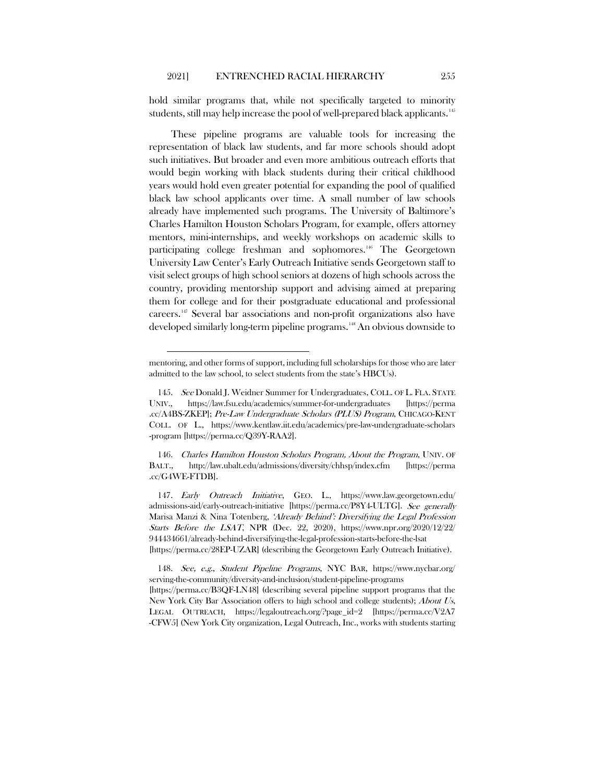hold similar programs that, while not specifically targeted to minority students, still may help increase the pool of well-prepared black applicants.<sup>[145](#page-32-0)</sup>

These pipeline programs are valuable tools for increasing the representation of black law students, and far more schools should adopt such initiatives. But broader and even more ambitious outreach efforts that would begin working with black students during their critical childhood years would hold even greater potential for expanding the pool of qualified black law school applicants over time. A small number of law schools already have implemented such programs. The University of Baltimore's Charles Hamilton Houston Scholars Program, for example, offers attorney mentors, mini-internships, and weekly workshops on academic skills to participating college freshman and sophomores.<sup>[146](#page-32-1)</sup> The Georgetown University Law Center's Early Outreach Initiative sends Georgetown staff to visit select groups of high school seniors at dozens of high schools across the country, providing mentorship support and advising aimed at preparing them for college and for their postgraduate educational and professional careers.[147](#page-32-2) Several bar associations and non-profit organizations also have developed similarly long-term pipeline programs.<sup>[148](#page-32-3)</sup> An obvious downside to

mentoring, and other forms of support, including full scholarships for those who are later admitted to the law school, to select students from the state's HBCUs).

<span id="page-32-0"></span><sup>145.</sup> See Donald J. Weidner Summer for Undergraduates, COLL. OF L. FLA. STATE UNIV., https://law.fsu.edu/academics/summer-for-undergraduates [https://perma .cc/A4BS-ZKEP]; Pre-Law Undergraduate Scholars (PLUS) Program, CHICAGO-KENT COLL. OF L., https://www.kentlaw.iit.edu/academics/pre-law-undergraduate-scholars -program [https://perma.cc/Q39Y-RAA2].

<span id="page-32-1"></span><sup>146.</sup> Charles Hamilton Houston Scholars Program, About the Program, UNIV. OF BALT., http://law.ubalt.edu/admissions/diversity/chhsp/index.cfm [https://perma .cc/G4WE-FTDB].

<span id="page-32-2"></span><sup>147.</sup> Early Outreach Initiative, GEO. L., https://www.law.georgetown.edu/ admissions-aid/early-outreach-initiative [https://perma.cc/P8Y4-ULTG]. See generally Marisa Manzi & Nina Totenberg, 'Already Behind': Diversifying the Legal Profession Starts Before the LSAT, NPR (Dec. 22, 2020), https://www.npr.org/2020/12/22/ 944434661/already-behind-diversifying-the-legal-profession-starts-before-the-lsat [https://perma.cc/28EP-UZAR] (describing the Georgetown Early Outreach Initiative).

<span id="page-32-3"></span><sup>148.</sup> See, e.g., Student Pipeline Programs, NYC BAR, https://www.nycbar.org/ serving-the-community/diversity-and-inclusion/student-pipeline-programs [https://perma.cc/B3QF-LN48] (describing several pipeline support programs that the New York City Bar Association offers to high school and college students); About Us, LEGAL OUTREACH, https://legaloutreach.org/?page\_id=2 [https://perma.cc/V2A7 -CFW5] (New York City organization, Legal Outreach, Inc., works with students starting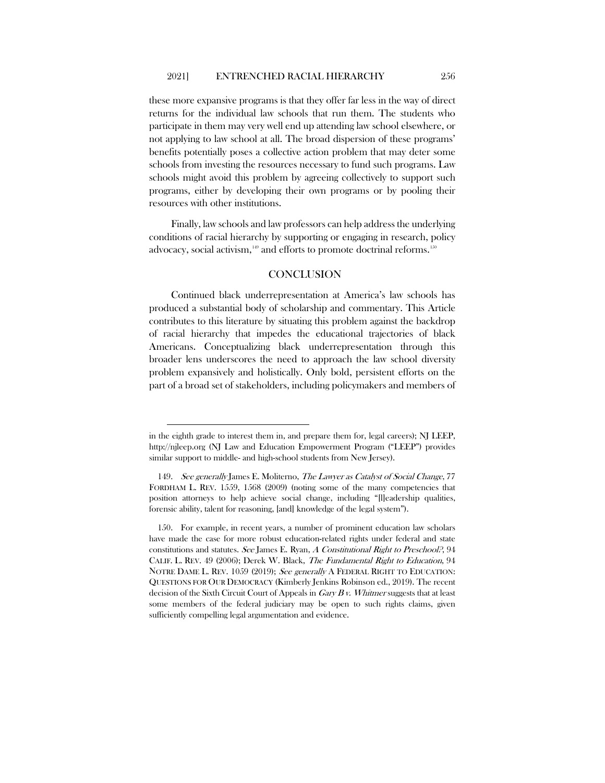these more expansive programs is that they offer far less in the way of direct returns for the individual law schools that run them. The students who participate in them may very well end up attending law school elsewhere, or not applying to law school at all. The broad dispersion of these programs' benefits potentially poses a collective action problem that may deter some schools from investing the resources necessary to fund such programs. Law schools might avoid this problem by agreeing collectively to support such programs, either by developing their own programs or by pooling their resources with other institutions.

Finally, law schools and law professors can help address the underlying conditions of racial hierarchy by supporting or engaging in research, policy advocacy, social activism, $149$  and efforts to promote doctrinal reforms.  $150$ 

# **CONCLUSION**

Continued black underrepresentation at America's law schools has produced a substantial body of scholarship and commentary. This Article contributes to this literature by situating this problem against the backdrop of racial hierarchy that impedes the educational trajectories of black Americans. Conceptualizing black underrepresentation through this broader lens underscores the need to approach the law school diversity problem expansively and holistically. Only bold, persistent efforts on the part of a broad set of stakeholders, including policymakers and members of

in the eighth grade to interest them in, and prepare them for, legal careers); NJ LEEP, [http://njleep.org](http://njleep.org/) (NJ Law and Education Empowerment Program ("LEEP") provides similar support to middle- and high-school students from New Jersey).

<span id="page-33-0"></span><sup>149.</sup> See generally James E. Moliterno, The Lawyer as Catalyst of Social Change, 77 FORDHAM L. REV. 1559, 1568 (2009) (noting some of the many competencies that position attorneys to help achieve social change, including "[l]eadership qualities, forensic ability, talent for reasoning, [and] knowledge of the legal system").

<span id="page-33-1"></span><sup>150.</sup> For example, in recent years, a number of prominent education law scholars have made the case for more robust education-related rights under federal and state constitutions and statutes. See James E. Ryan, A Constitutional Right to Preschool?, 94 CALIF. L. REV. 49 (2006); Derek W. Black, The Fundamental Right to Education, 94 NOTRE DAME L. REV. 1059 (2019); See generally A FEDERAL RIGHT TO EDUCATION: QUESTIONS FOR OUR DEMOCRACY (Kimberly Jenkins Robinson ed., 2019). The recent decision of the Sixth Circuit Court of Appeals in  $Gary B v$ . Whitmer suggests that at least some members of the federal judiciary may be open to such rights claims, given sufficiently compelling legal argumentation and evidence.